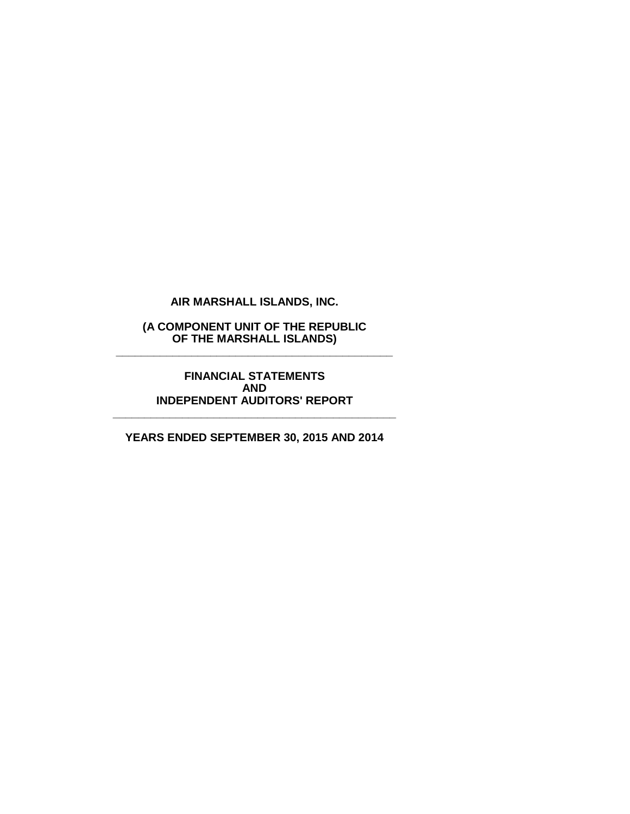**AIR MARSHALL ISLANDS, INC.**

**(A COMPONENT UNIT OF THE REPUBLIC OF THE MARSHALL ISLANDS) \_\_\_\_\_\_\_\_\_\_\_\_\_\_\_\_\_\_\_\_\_\_\_\_\_\_\_\_\_\_\_\_\_\_\_\_\_\_\_\_\_\_\_\_**

> **FINANCIAL STATEMENTS AND INDEPENDENT AUDITORS' REPORT**

**\_\_\_\_\_\_\_\_\_\_\_\_\_\_\_\_\_\_\_\_\_\_\_\_\_\_\_\_\_\_\_\_\_\_\_\_\_\_\_\_\_\_\_\_\_**

**YEARS ENDED SEPTEMBER 30, 2015 AND 2014**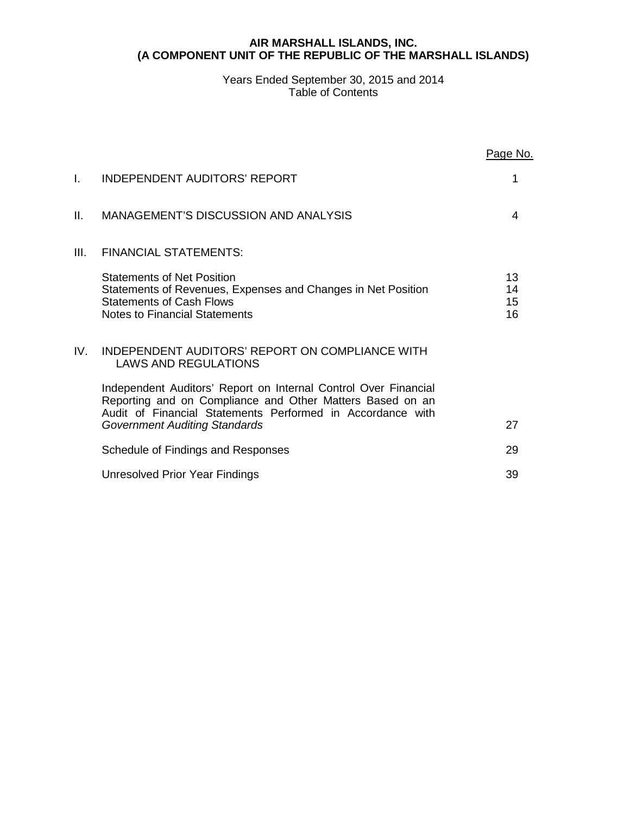## Years Ended September 30, 2015 and 2014 Table of Contents

|      |                                                                                                                                                                                                                                    | Page No.             |
|------|------------------------------------------------------------------------------------------------------------------------------------------------------------------------------------------------------------------------------------|----------------------|
| I.   | <b>INDEPENDENT AUDITORS' REPORT</b>                                                                                                                                                                                                | 1                    |
| Ш.   | MANAGEMENT'S DISCUSSION AND ANALYSIS                                                                                                                                                                                               | 4                    |
| III. | <b>FINANCIAL STATEMENTS:</b>                                                                                                                                                                                                       |                      |
|      | Statements of Net Position<br>Statements of Revenues, Expenses and Changes in Net Position<br><b>Statements of Cash Flows</b><br><b>Notes to Financial Statements</b>                                                              | 13<br>14<br>15<br>16 |
| IV.  | INDEPENDENT AUDITORS' REPORT ON COMPLIANCE WITH<br><b>LAWS AND REGULATIONS</b>                                                                                                                                                     |                      |
|      | Independent Auditors' Report on Internal Control Over Financial<br>Reporting and on Compliance and Other Matters Based on an<br>Audit of Financial Statements Performed in Accordance with<br><b>Government Auditing Standards</b> | 27                   |
|      | Schedule of Findings and Responses                                                                                                                                                                                                 | 29                   |
|      | Unresolved Prior Year Findings                                                                                                                                                                                                     | 39                   |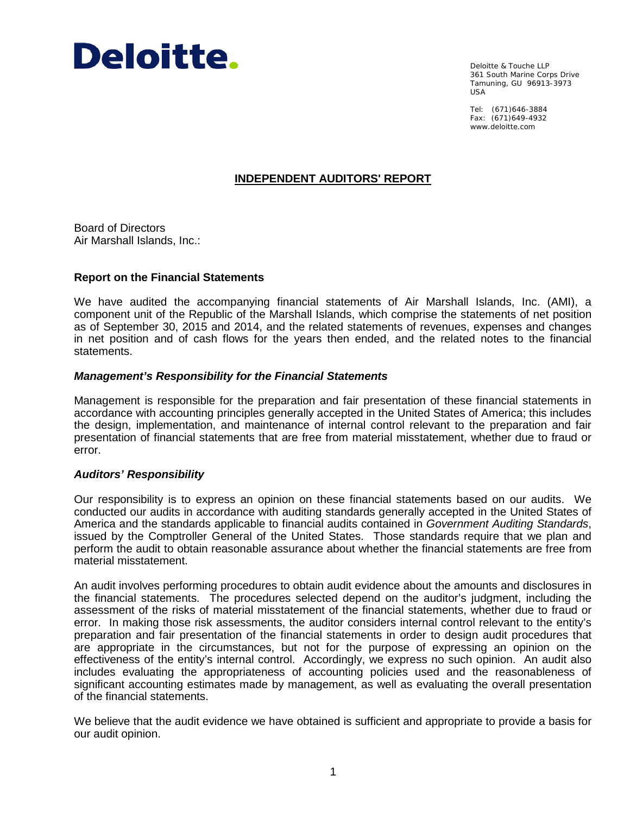

Deloitte & Touche LLP 361 South Marine Corps Drive Tamuning, GU 96913-3973 USA

Tel: (671)646-3884 Fax: (671)649-4932 www.deloitte.com

# **INDEPENDENT AUDITORS' REPORT**

Board of Directors Air Marshall Islands, Inc.:

#### **Report on the Financial Statements**

We have audited the accompanying financial statements of Air Marshall Islands, Inc. (AMI), a component unit of the Republic of the Marshall Islands, which comprise the statements of net position as of September 30, 2015 and 2014, and the related statements of revenues, expenses and changes in net position and of cash flows for the years then ended, and the related notes to the financial statements.

#### *Management's Responsibility for the Financial Statements*

Management is responsible for the preparation and fair presentation of these financial statements in accordance with accounting principles generally accepted in the United States of America; this includes the design, implementation, and maintenance of internal control relevant to the preparation and fair presentation of financial statements that are free from material misstatement, whether due to fraud or error.

### *Auditors' Responsibility*

Our responsibility is to express an opinion on these financial statements based on our audits. We conducted our audits in accordance with auditing standards generally accepted in the United States of America and the standards applicable to financial audits contained in *Government Auditing Standards*, issued by the Comptroller General of the United States. Those standards require that we plan and perform the audit to obtain reasonable assurance about whether the financial statements are free from material misstatement.

An audit involves performing procedures to obtain audit evidence about the amounts and disclosures in the financial statements. The procedures selected depend on the auditor's judgment, including the assessment of the risks of material misstatement of the financial statements, whether due to fraud or error. In making those risk assessments, the auditor considers internal control relevant to the entity's preparation and fair presentation of the financial statements in order to design audit procedures that are appropriate in the circumstances, but not for the purpose of expressing an opinion on the effectiveness of the entity's internal control. Accordingly, we express no such opinion. An audit also includes evaluating the appropriateness of accounting policies used and the reasonableness of significant accounting estimates made by management, as well as evaluating the overall presentation of the financial statements.

We believe that the audit evidence we have obtained is sufficient and appropriate to provide a basis for our audit opinion.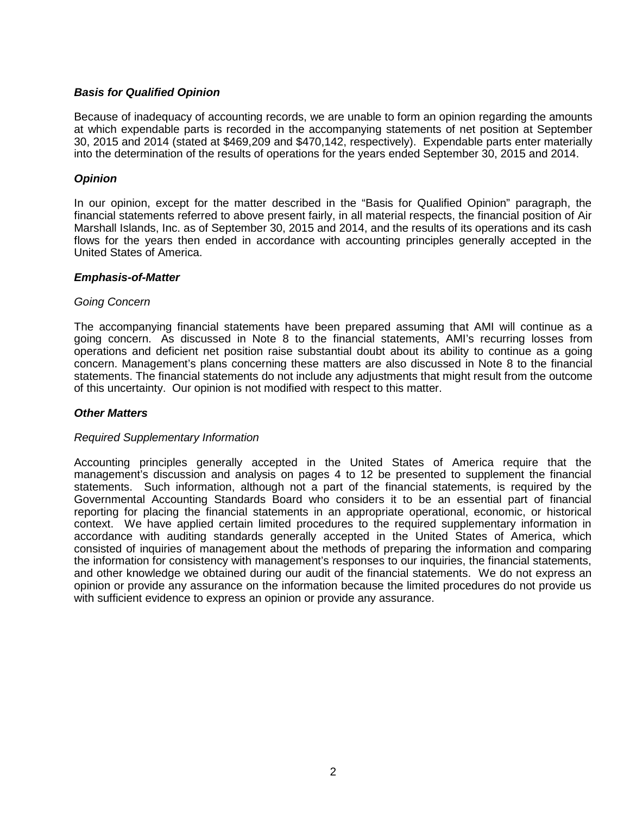# *Basis for Qualified Opinion*

Because of inadequacy of accounting records, we are unable to form an opinion regarding the amounts at which expendable parts is recorded in the accompanying statements of net position at September 30, 2015 and 2014 (stated at \$469,209 and \$470,142, respectively). Expendable parts enter materially into the determination of the results of operations for the years ended September 30, 2015 and 2014.

# *Opinion*

In our opinion, except for the matter described in the "Basis for Qualified Opinion" paragraph, the financial statements referred to above present fairly, in all material respects, the financial position of Air Marshall Islands, Inc. as of September 30, 2015 and 2014, and the results of its operations and its cash flows for the years then ended in accordance with accounting principles generally accepted in the United States of America.

### *Emphasis-of-Matter*

### *Going Concern*

The accompanying financial statements have been prepared assuming that AMI will continue as a going concern. As discussed in Note 8 to the financial statements, AMI's recurring losses from operations and deficient net position raise substantial doubt about its ability to continue as a going concern. Management's plans concerning these matters are also discussed in Note 8 to the financial statements. The financial statements do not include any adjustments that might result from the outcome of this uncertainty. Our opinion is not modified with respect to this matter.

### *Other Matters*

### *Required Supplementary Information*

Accounting principles generally accepted in the United States of America require that the management's discussion and analysis on pages 4 to 12 be presented to supplement the financial statements. Such information, although not a part of the financial statements, is required by the Governmental Accounting Standards Board who considers it to be an essential part of financial reporting for placing the financial statements in an appropriate operational, economic, or historical context. We have applied certain limited procedures to the required supplementary information in accordance with auditing standards generally accepted in the United States of America, which consisted of inquiries of management about the methods of preparing the information and comparing the information for consistency with management's responses to our inquiries, the financial statements, and other knowledge we obtained during our audit of the financial statements. We do not express an opinion or provide any assurance on the information because the limited procedures do not provide us with sufficient evidence to express an opinion or provide any assurance.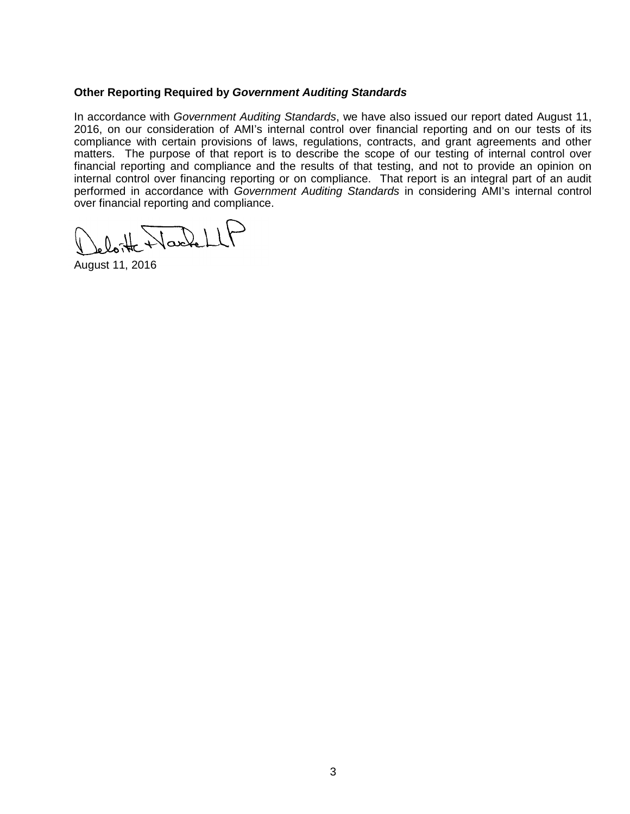# **Other Reporting Required by** *Government Auditing Standards*

In accordance with *Government Auditing Standards*, we have also issued our report dated August 11, 2016, on our consideration of AMI's internal control over financial reporting and on our tests of its compliance with certain provisions of laws, regulations, contracts, and grant agreements and other matters. The purpose of that report is to describe the scope of our testing of internal control over financial reporting and compliance and the results of that testing, and not to provide an opinion on internal control over financing reporting or on compliance. That report is an integral part of an audit performed in accordance with *Government Auditing Standards* in considering AMI's internal control over financial reporting and compliance.

VarkeLLF

August 11, 2016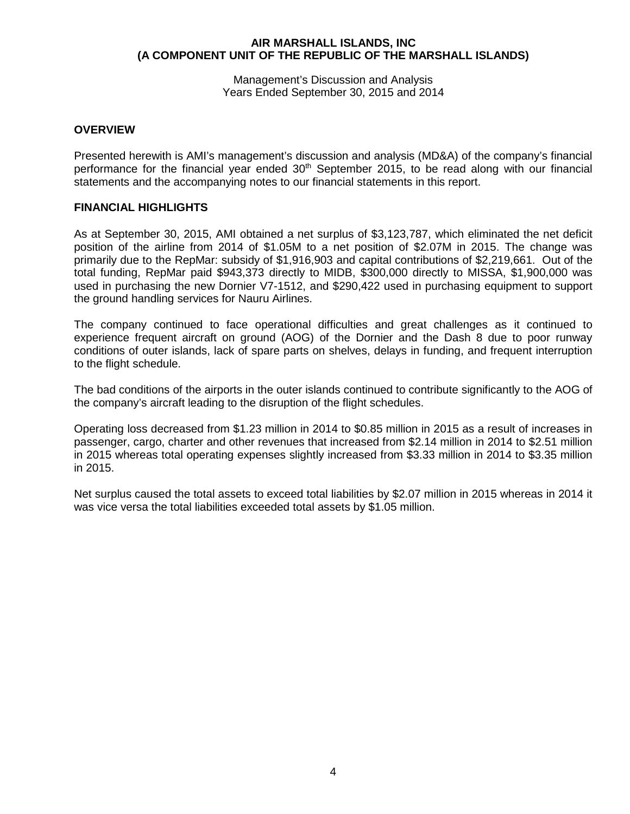Management's Discussion and Analysis Years Ended September 30, 2015 and 2014

### **OVERVIEW**

Presented herewith is AMI's management's discussion and analysis (MD&A) of the company's financial performance for the financial year ended 30<sup>th</sup> September 2015, to be read along with our financial statements and the accompanying notes to our financial statements in this report.

# **FINANCIAL HIGHLIGHTS**

As at September 30, 2015, AMI obtained a net surplus of \$3,123,787, which eliminated the net deficit position of the airline from 2014 of \$1.05M to a net position of \$2.07M in 2015. The change was primarily due to the RepMar: subsidy of \$1,916,903 and capital contributions of \$2,219,661. Out of the total funding, RepMar paid \$943,373 directly to MIDB, \$300,000 directly to MISSA, \$1,900,000 was used in purchasing the new Dornier V7-1512, and \$290,422 used in purchasing equipment to support the ground handling services for Nauru Airlines.

The company continued to face operational difficulties and great challenges as it continued to experience frequent aircraft on ground (AOG) of the Dornier and the Dash 8 due to poor runway conditions of outer islands, lack of spare parts on shelves, delays in funding, and frequent interruption to the flight schedule.

The bad conditions of the airports in the outer islands continued to contribute significantly to the AOG of the company's aircraft leading to the disruption of the flight schedules.

Operating loss decreased from \$1.23 million in 2014 to \$0.85 million in 2015 as a result of increases in passenger, cargo, charter and other revenues that increased from \$2.14 million in 2014 to \$2.51 million in 2015 whereas total operating expenses slightly increased from \$3.33 million in 2014 to \$3.35 million in 2015.

Net surplus caused the total assets to exceed total liabilities by \$2.07 million in 2015 whereas in 2014 it was vice versa the total liabilities exceeded total assets by \$1.05 million.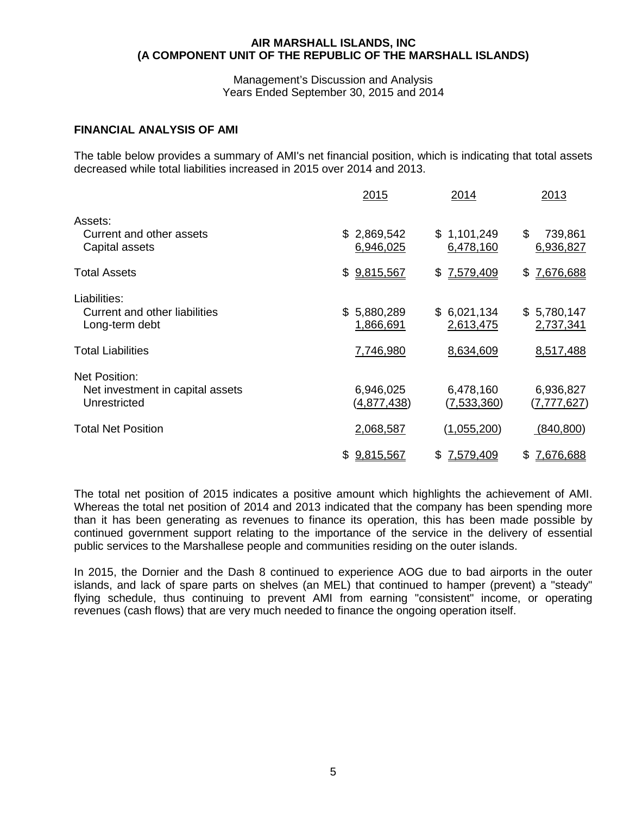Management's Discussion and Analysis Years Ended September 30, 2015 and 2014

### **FINANCIAL ANALYSIS OF AMI**

The table below provides a summary of AMI's net financial position, which is indicating that total assets decreased while total liabilities increased in 2015 over 2014 and 2013.

|                                                                          | 2015                     | 2014                     | 2013                       |
|--------------------------------------------------------------------------|--------------------------|--------------------------|----------------------------|
| Assets:<br>Current and other assets<br>Capital assets                    | \$2,869,542<br>6,946,025 | \$1,101,249<br>6,478,160 | \$<br>739,861<br>6,936,827 |
| <b>Total Assets</b>                                                      | \$<br>9,815,567          | <u>7,579,409</u><br>\$   | 7,676,688<br>\$            |
| Liabilities:<br>Current and other liabilities<br>Long-term debt          | \$5,880,289<br>1,866,691 | \$6,021,134<br>2,613,475 | \$5,780,147<br>2,737,341   |
| <b>Total Liabilities</b>                                                 | 7,746,980                | 8,634,609                | 8,517,488                  |
| <b>Net Position:</b><br>Net investment in capital assets<br>Unrestricted | 6,946,025<br>(4,877,438) | 6,478,160<br>(7,533,360) | 6,936,827<br>(7, 777, 627) |
| <b>Total Net Position</b>                                                | 2,068,587                | (1,055,200)              | (840, 800)                 |
|                                                                          | \$<br>9.815,567          | 7,579,409<br>\$          | 7.676,688<br>\$            |

The total net position of 2015 indicates a positive amount which highlights the achievement of AMI. Whereas the total net position of 2014 and 2013 indicated that the company has been spending more than it has been generating as revenues to finance its operation, this has been made possible by continued government support relating to the importance of the service in the delivery of essential public services to the Marshallese people and communities residing on the outer islands.

In 2015, the Dornier and the Dash 8 continued to experience AOG due to bad airports in the outer islands, and lack of spare parts on shelves (an MEL) that continued to hamper (prevent) a "steady" flying schedule, thus continuing to prevent AMI from earning "consistent" income, or operating revenues (cash flows) that are very much needed to finance the ongoing operation itself.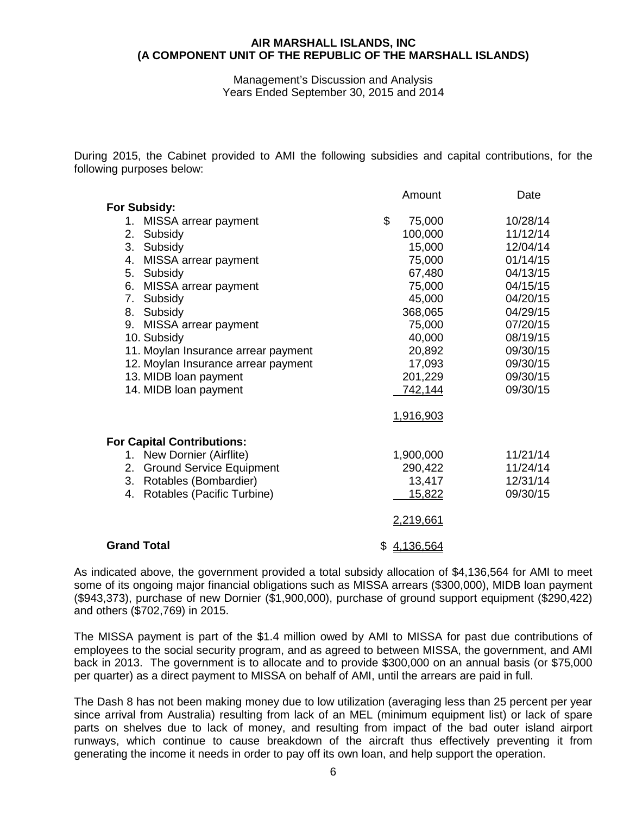Management's Discussion and Analysis Years Ended September 30, 2015 and 2014

During 2015, the Cabinet provided to AMI the following subsidies and capital contributions, for the following purposes below:

|                                     | Amount          | Date     |
|-------------------------------------|-----------------|----------|
| For Subsidy:                        |                 |          |
| MISSA arrear payment<br>1.          | \$<br>75,000    | 10/28/14 |
| Subsidy<br>2.                       | 100,000         | 11/12/14 |
| 3. Subsidy                          | 15,000          | 12/04/14 |
| MISSA arrear payment<br>4.          | 75,000          | 01/14/15 |
| 5. Subsidy                          | 67,480          | 04/13/15 |
| MISSA arrear payment<br>6.          | 75,000          | 04/15/15 |
| Subsidy<br>7.                       | 45,000          | 04/20/15 |
| 8. Subsidy                          | 368,065         | 04/29/15 |
| MISSA arrear payment<br>9.          | 75,000          | 07/20/15 |
| 10. Subsidy                         | 40,000          | 08/19/15 |
| 11. Moylan Insurance arrear payment | 20,892          | 09/30/15 |
| 12. Moylan Insurance arrear payment | 17,093          | 09/30/15 |
| 13. MIDB loan payment               | 201,229         | 09/30/15 |
| 14. MIDB loan payment               | 742,144         | 09/30/15 |
|                                     | 1,916,903       |          |
| <b>For Capital Contributions:</b>   |                 |          |
| 1. New Dornier (Airflite)           | 1,900,000       | 11/21/14 |
| 2. Ground Service Equipment         | 290,422         | 11/24/14 |
| 3. Rotables (Bombardier)            | 13,417          | 12/31/14 |
| Rotables (Pacific Turbine)<br>4.    | 15,822          | 09/30/15 |
|                                     | 2,219,661       |          |
| <b>Grand Total</b>                  | 4,136,564<br>\$ |          |

As indicated above, the government provided a total subsidy allocation of \$4,136,564 for AMI to meet some of its ongoing major financial obligations such as MISSA arrears (\$300,000), MIDB loan payment (\$943,373), purchase of new Dornier (\$1,900,000), purchase of ground support equipment (\$290,422) and others (\$702,769) in 2015.

The MISSA payment is part of the \$1.4 million owed by AMI to MISSA for past due contributions of employees to the social security program, and as agreed to between MISSA, the government, and AMI back in 2013. The government is to allocate and to provide \$300,000 on an annual basis (or \$75,000 per quarter) as a direct payment to MISSA on behalf of AMI, until the arrears are paid in full.

The Dash 8 has not been making money due to low utilization (averaging less than 25 percent per year since arrival from Australia) resulting from lack of an MEL (minimum equipment list) or lack of spare parts on shelves due to lack of money, and resulting from impact of the bad outer island airport runways, which continue to cause breakdown of the aircraft thus effectively preventing it from generating the income it needs in order to pay off its own loan, and help support the operation.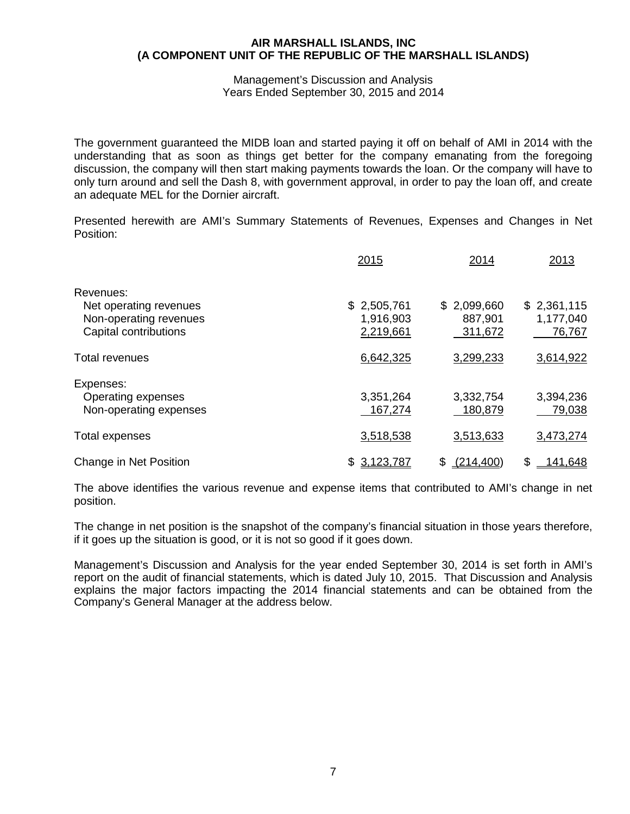### Management's Discussion and Analysis Years Ended September 30, 2015 and 2014

The government guaranteed the MIDB loan and started paying it off on behalf of AMI in 2014 with the understanding that as soon as things get better for the company emanating from the foregoing discussion, the company will then start making payments towards the loan. Or the company will have to only turn around and sell the Dash 8, with government approval, in order to pay the loan off, and create an adequate MEL for the Dornier aircraft.

Presented herewith are AMI's Summary Statements of Revenues, Expenses and Changes in Net Position:

|                        | 2015            | 2014             | 2013          |
|------------------------|-----------------|------------------|---------------|
| Revenues:              |                 |                  |               |
| Net operating revenues | \$2,505,761     | 2,099,660<br>\$. | \$2,361,115   |
| Non-operating revenues | 1,916,903       | 887,901          | 1,177,040     |
| Capital contributions  | 2,219,661       | 311,672          | 76,767        |
| <b>Total revenues</b>  | 6,642,325       | 3,299,233        | 3,614,922     |
| Expenses:              |                 |                  |               |
| Operating expenses     | 3,351,264       | 3,332,754        | 3,394,236     |
| Non-operating expenses | 167,274         | 180,879          | 79,038        |
| <b>Total expenses</b>  | 3,518,538       | 3,513,633        | 3,473,274     |
|                        |                 |                  |               |
| Change in Net Position | 3,123,787<br>\$ | \$<br>(214, 400) | \$<br>141,648 |

The above identifies the various revenue and expense items that contributed to AMI's change in net position.

The change in net position is the snapshot of the company's financial situation in those years therefore, if it goes up the situation is good, or it is not so good if it goes down.

Management's Discussion and Analysis for the year ended September 30, 2014 is set forth in AMI's report on the audit of financial statements, which is dated July 10, 2015. That Discussion and Analysis explains the major factors impacting the 2014 financial statements and can be obtained from the Company's General Manager at the address below.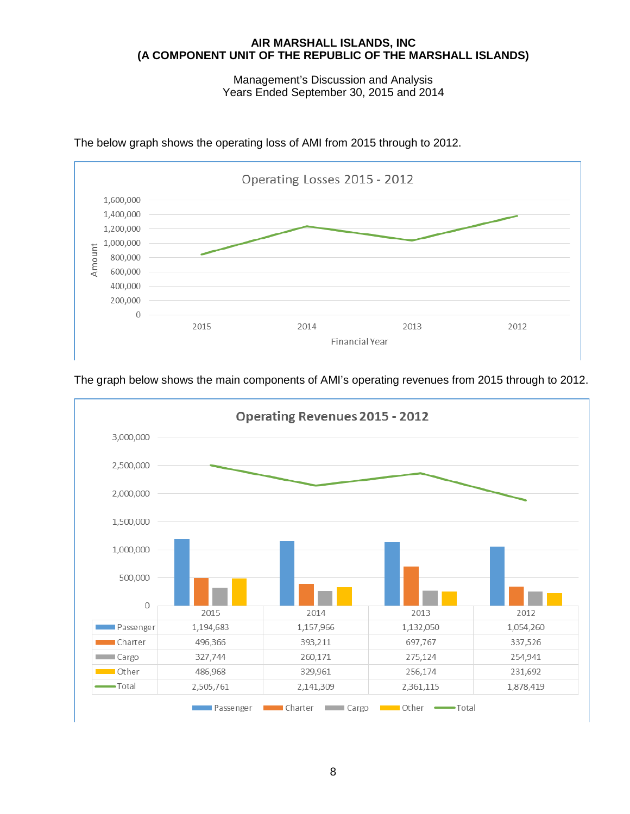Management's Discussion and Analysis Years Ended September 30, 2015 and 2014



The below graph shows the operating loss of AMI from 2015 through to 2012.



The graph below shows the main components of AMI's operating revenues from 2015 through to 2012.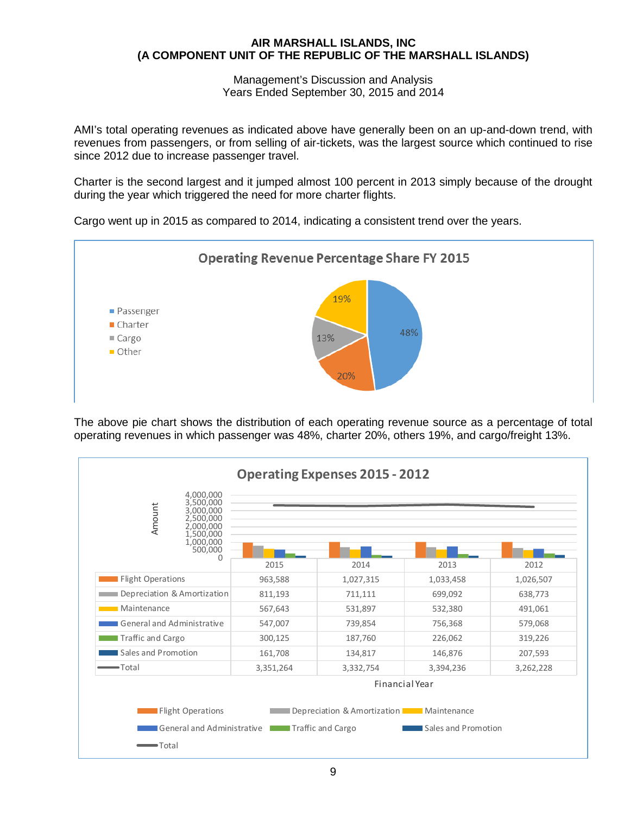Management's Discussion and Analysis Years Ended September 30, 2015 and 2014

AMI's total operating revenues as indicated above have generally been on an up-and-down trend, with revenues from passengers, or from selling of air-tickets, was the largest source which continued to rise since 2012 due to increase passenger travel.

Charter is the second largest and it jumped almost 100 percent in 2013 simply because of the drought during the year which triggered the need for more charter flights.

Cargo went up in 2015 as compared to 2014, indicating a consistent trend over the years.



The above pie chart shows the distribution of each operating revenue source as a percentage of total operating revenues in which passenger was 48%, charter 20%, others 19%, and cargo/freight 13%.

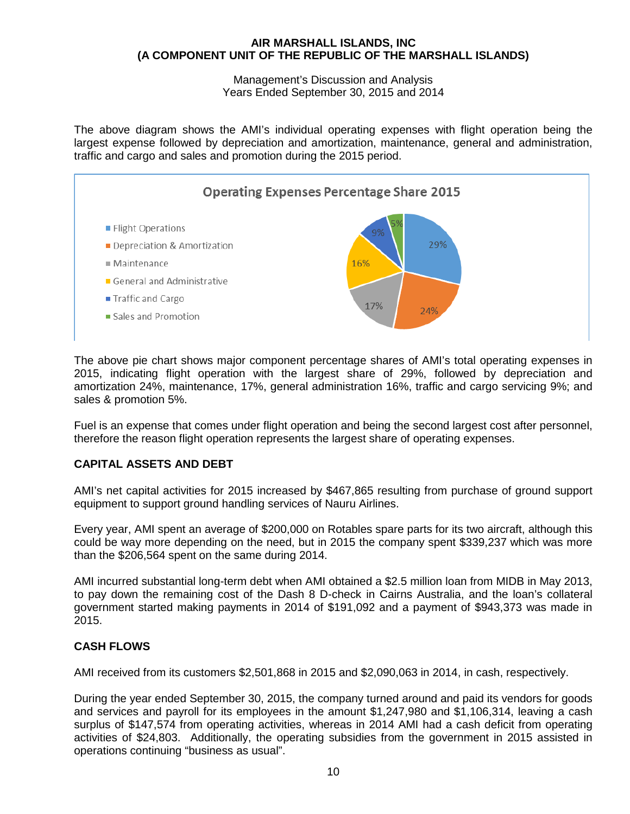Management's Discussion and Analysis Years Ended September 30, 2015 and 2014

The above diagram shows the AMI's individual operating expenses with flight operation being the largest expense followed by depreciation and amortization, maintenance, general and administration, traffic and cargo and sales and promotion during the 2015 period.



The above pie chart shows major component percentage shares of AMI's total operating expenses in 2015, indicating flight operation with the largest share of 29%, followed by depreciation and amortization 24%, maintenance, 17%, general administration 16%, traffic and cargo servicing 9%; and sales & promotion 5%.

Fuel is an expense that comes under flight operation and being the second largest cost after personnel, therefore the reason flight operation represents the largest share of operating expenses.

# **CAPITAL ASSETS AND DEBT**

AMI's net capital activities for 2015 increased by \$467,865 resulting from purchase of ground support equipment to support ground handling services of Nauru Airlines.

Every year, AMI spent an average of \$200,000 on Rotables spare parts for its two aircraft, although this could be way more depending on the need, but in 2015 the company spent \$339,237 which was more than the \$206,564 spent on the same during 2014.

AMI incurred substantial long-term debt when AMI obtained a \$2.5 million loan from MIDB in May 2013, to pay down the remaining cost of the Dash 8 D-check in Cairns Australia, and the loan's collateral government started making payments in 2014 of \$191,092 and a payment of \$943,373 was made in 2015.

# **CASH FLOWS**

AMI received from its customers \$2,501,868 in 2015 and \$2,090,063 in 2014, in cash, respectively.

During the year ended September 30, 2015, the company turned around and paid its vendors for goods and services and payroll for its employees in the amount \$1,247,980 and \$1,106,314, leaving a cash surplus of \$147,574 from operating activities, whereas in 2014 AMI had a cash deficit from operating activities of \$24,803. Additionally, the operating subsidies from the government in 2015 assisted in operations continuing "business as usual".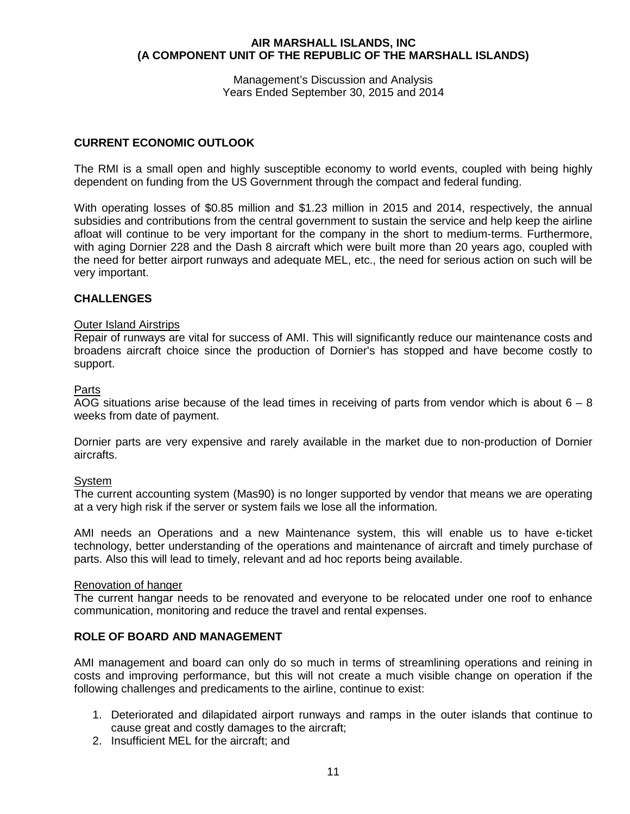Management's Discussion and Analysis Years Ended September 30, 2015 and 2014

# **CURRENT ECONOMIC OUTLOOK**

The RMI is a small open and highly susceptible economy to world events, coupled with being highly dependent on funding from the US Government through the compact and federal funding.

With operating losses of \$0.85 million and \$1.23 million in 2015 and 2014, respectively, the annual subsidies and contributions from the central government to sustain the service and help keep the airline afloat will continue to be very important for the company in the short to medium-terms. Furthermore, with aging Dornier 228 and the Dash 8 aircraft which were built more than 20 years ago, coupled with the need for better airport runways and adequate MEL, etc., the need for serious action on such will be very important.

# **CHALLENGES**

### Outer Island Airstrips

Repair of runways are vital for success of AMI. This will significantly reduce our maintenance costs and broadens aircraft choice since the production of Dornier's has stopped and have become costly to support.

### Parts

AOG situations arise because of the lead times in receiving of parts from vendor which is about  $6 - 8$ weeks from date of payment.

Dornier parts are very expensive and rarely available in the market due to non-production of Dornier aircrafts.

### **System**

The current accounting system (Mas90) is no longer supported by vendor that means we are operating at a very high risk if the server or system fails we lose all the information.

AMI needs an Operations and a new Maintenance system, this will enable us to have e-ticket technology, better understanding of the operations and maintenance of aircraft and timely purchase of parts. Also this will lead to timely, relevant and ad hoc reports being available.

#### Renovation of hanger

The current hangar needs to be renovated and everyone to be relocated under one roof to enhance communication, monitoring and reduce the travel and rental expenses.

# **ROLE OF BOARD AND MANAGEMENT**

AMI management and board can only do so much in terms of streamlining operations and reining in costs and improving performance, but this will not create a much visible change on operation if the following challenges and predicaments to the airline, continue to exist:

- 1. Deteriorated and dilapidated airport runways and ramps in the outer islands that continue to cause great and costly damages to the aircraft;
- 2. Insufficient MEL for the aircraft; and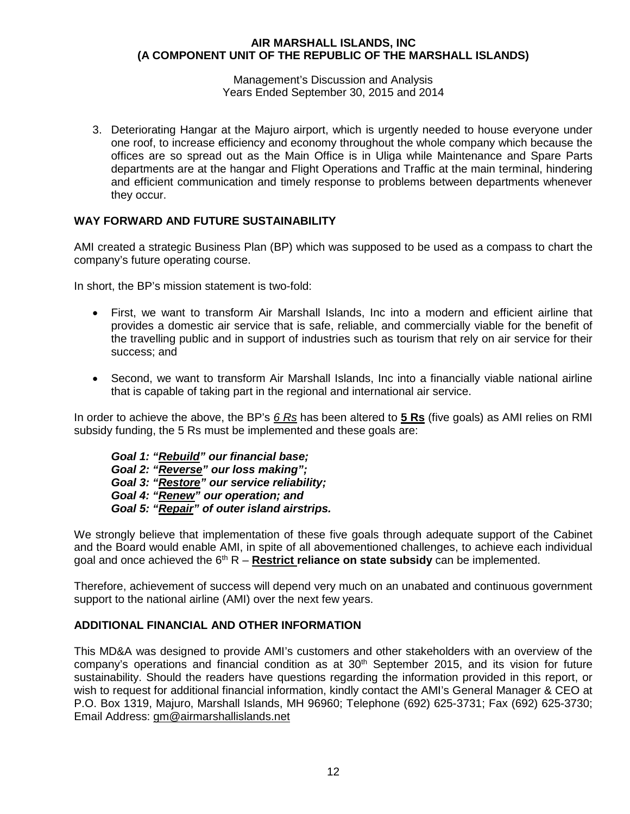### Management's Discussion and Analysis Years Ended September 30, 2015 and 2014

3. Deteriorating Hangar at the Majuro airport, which is urgently needed to house everyone under one roof, to increase efficiency and economy throughout the whole company which because the offices are so spread out as the Main Office is in Uliga while Maintenance and Spare Parts departments are at the hangar and Flight Operations and Traffic at the main terminal, hindering and efficient communication and timely response to problems between departments whenever they occur.

# **WAY FORWARD AND FUTURE SUSTAINABILITY**

AMI created a strategic Business Plan (BP) which was supposed to be used as a compass to chart the company's future operating course.

In short, the BP's mission statement is two-fold:

- First, we want to transform Air Marshall Islands, Inc into a modern and efficient airline that provides a domestic air service that is safe, reliable, and commercially viable for the benefit of the travelling public and in support of industries such as tourism that rely on air service for their success; and
- Second, we want to transform Air Marshall Islands, Inc into a financially viable national airline that is capable of taking part in the regional and international air service.

In order to achieve the above, the BP's *6 Rs* has been altered to **5 Rs** (five goals) as AMI relies on RMI subsidy funding, the 5 Rs must be implemented and these goals are:

*Goal 1: "Rebuild" our financial base; Goal 2: "Reverse" our loss making"; Goal 3: "Restore" our service reliability; Goal 4: "Renew" our operation; and Goal 5: "Repair" of outer island airstrips.* 

We strongly believe that implementation of these five goals through adequate support of the Cabinet and the Board would enable AMI, in spite of all abovementioned challenges, to achieve each individual goal and once achieved the  $6<sup>th</sup> R -$  **Restrict reliance on state subsidy** can be implemented.

Therefore, achievement of success will depend very much on an unabated and continuous government support to the national airline (AMI) over the next few years.

# **ADDITIONAL FINANCIAL AND OTHER INFORMATION**

This MD&A was designed to provide AMI's customers and other stakeholders with an overview of the company's operations and financial condition as at 30<sup>th</sup> September 2015, and its vision for future sustainability. Should the readers have questions regarding the information provided in this report, or wish to request for additional financial information, kindly contact the AMI's General Manager & CEO at P.O. Box 1319, Majuro, Marshall Islands, MH 96960; Telephone (692) 625-3731; Fax (692) 625-3730; Email Address: [gm@airmarshallislands.](mailto:gm@airmarshallislands)net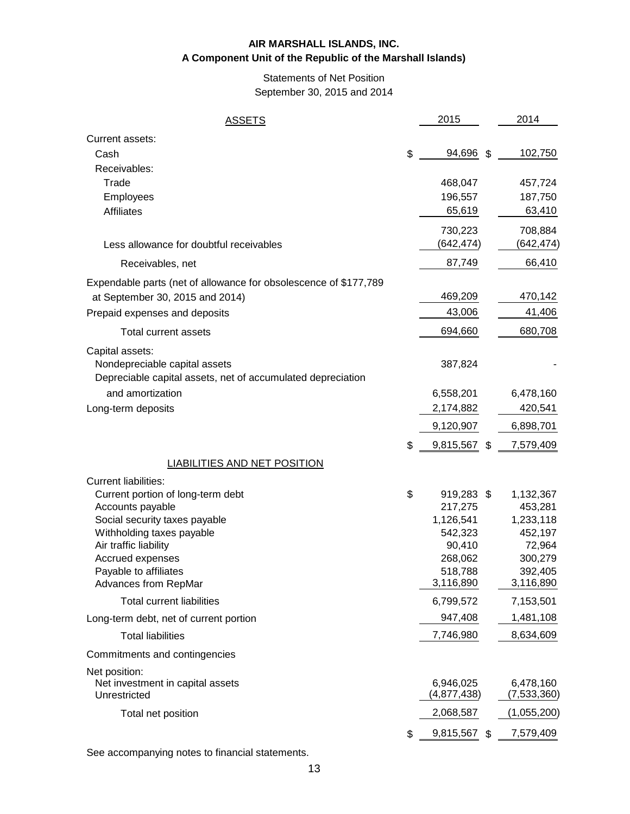# **AIR MARSHALL ISLANDS, INC. A Component Unit of the Republic of the Marshall Islands)**

# Statements of Net Position September 30, 2015 and 2014

| <b>ASSETS</b>                                                    | 2015                 | 2014              |
|------------------------------------------------------------------|----------------------|-------------------|
| Current assets:                                                  |                      |                   |
| Cash                                                             | \$<br>94,696         | \$<br>102,750     |
| Receivables:                                                     |                      |                   |
| Trade                                                            | 468,047              | 457,724           |
| Employees                                                        | 196,557              | 187,750           |
| <b>Affiliates</b>                                                | 65,619               | 63,410            |
|                                                                  | 730,223              | 708,884           |
| Less allowance for doubtful receivables                          | (642, 474)           | (642, 474)        |
| Receivables, net                                                 | 87,749               | 66,410            |
| Expendable parts (net of allowance for obsolescence of \$177,789 |                      |                   |
| at September 30, 2015 and 2014)                                  | 469,209              | 470,142           |
| Prepaid expenses and deposits                                    | 43,006               | 41,406            |
| <b>Total current assets</b>                                      | 694,660              | 680,708           |
| Capital assets:                                                  |                      |                   |
| Nondepreciable capital assets                                    | 387,824              |                   |
| Depreciable capital assets, net of accumulated depreciation      |                      |                   |
| and amortization                                                 | 6,558,201            | 6,478,160         |
| Long-term deposits                                               | 2,174,882            | 420,541           |
|                                                                  | 9,120,907            | 6,898,701         |
|                                                                  | \$<br>9,815,567      | \$<br>7,579,409   |
| <b>LIABILITIES AND NET POSITION</b>                              |                      |                   |
| <b>Current liabilities:</b>                                      |                      |                   |
| Current portion of long-term debt                                | \$<br>$919,283$ \$   | 1,132,367         |
| Accounts payable                                                 | 217,275              | 453,281           |
| Social security taxes payable                                    | 1,126,541            | 1,233,118         |
| Withholding taxes payable<br>Air traffic liability               | 542,323<br>90,410    | 452,197<br>72,964 |
| Accrued expenses                                                 | 268,062              | 300,279           |
| Pavable to affiliates                                            | 518.788              | 392.405           |
| Advances from RepMar                                             | 3,116,890            | 3,116,890         |
| <b>Total current liabilities</b>                                 | 6,799,572            | 7,153,501         |
| Long-term debt, net of current portion                           | 947,408              | 1,481,108         |
| <b>Total liabilities</b>                                         | 7,746,980            | 8,634,609         |
| Commitments and contingencies                                    |                      |                   |
| Net position:                                                    |                      |                   |
| Net investment in capital assets                                 | 6,946,025            | 6,478,160         |
| Unrestricted                                                     | (4,877,438)          | (7,533,360)       |
| Total net position                                               | 2,068,587            | (1,055,200)       |
|                                                                  | \$<br>$9,815,567$ \$ | 7,579,409         |

See accompanying notes to financial statements.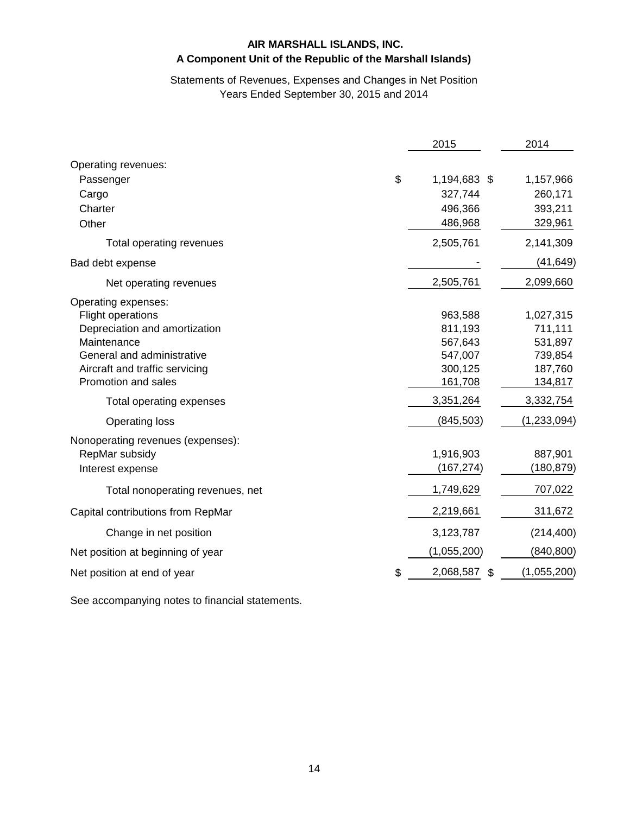# **AIR MARSHALL ISLANDS, INC. A Component Unit of the Republic of the Marshall Islands)**

# Statements of Revenues, Expenses and Changes in Net Position Years Ended September 30, 2015 and 2014

|                                                                                                 | 2015                          | 2014                            |
|-------------------------------------------------------------------------------------------------|-------------------------------|---------------------------------|
| Operating revenues:                                                                             |                               |                                 |
| Passenger                                                                                       | \$<br>1,194,683 \$            | 1,157,966                       |
| Cargo                                                                                           | 327,744                       | 260,171                         |
| Charter                                                                                         | 496,366                       | 393,211                         |
| Other                                                                                           | 486,968                       | 329,961                         |
| Total operating revenues                                                                        | 2,505,761                     | 2,141,309                       |
| Bad debt expense                                                                                |                               | (41,649)                        |
| Net operating revenues                                                                          | 2,505,761                     | 2,099,660                       |
| Operating expenses:<br><b>Flight operations</b><br>Depreciation and amortization<br>Maintenance | 963,588<br>811,193<br>567,643 | 1,027,315<br>711,111<br>531,897 |
| General and administrative                                                                      | 547,007                       | 739,854                         |
| Aircraft and traffic servicing                                                                  | 300,125                       | 187,760                         |
| Promotion and sales                                                                             | 161,708                       | 134,817                         |
| Total operating expenses                                                                        | 3,351,264                     | 3,332,754                       |
| <b>Operating loss</b>                                                                           | (845, 503)                    | (1, 233, 094)                   |
| Nonoperating revenues (expenses):<br>RepMar subsidy<br>Interest expense                         | 1,916,903<br>(167, 274)       | 887,901<br>(180, 879)           |
| Total nonoperating revenues, net                                                                | 1,749,629                     | 707,022                         |
| Capital contributions from RepMar                                                               | 2,219,661                     | 311,672                         |
| Change in net position                                                                          | 3,123,787                     | (214, 400)                      |
| Net position at beginning of year                                                               | (1,055,200)                   | (840, 800)                      |
| Net position at end of year                                                                     | \$<br>2,068,587<br>\$         | (1,055,200)                     |

See accompanying notes to financial statements.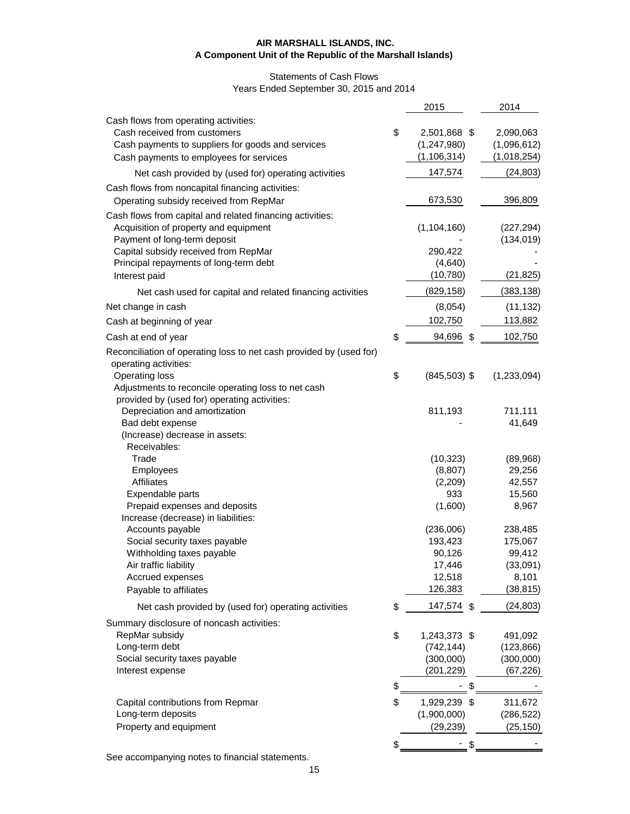#### **A Component Unit of the Republic of the Marshall Islands) AIR MARSHALL ISLANDS, INC.**

#### Statements of Cash Flows Years Ended September 30, 2015 and 2014

|                                                                     | 2015                 | 2014        |
|---------------------------------------------------------------------|----------------------|-------------|
| Cash flows from operating activities:                               |                      |             |
| Cash received from customers                                        | \$<br>2,501,868 \$   | 2,090,063   |
| Cash payments to suppliers for goods and services                   | (1,247,980)          | (1,096,612) |
| Cash payments to employees for services                             | (1, 106, 314)        | (1,018,254) |
| Net cash provided by (used for) operating activities                | 147,574              | (24, 803)   |
| Cash flows from noncapital financing activities:                    |                      |             |
| Operating subsidy received from RepMar                              | 673,530              | 396,809     |
| Cash flows from capital and related financing activities:           |                      |             |
| Acquisition of property and equipment                               | (1, 104, 160)        | (227, 294)  |
| Payment of long-term deposit                                        |                      | (134, 019)  |
| Capital subsidy received from RepMar                                | 290,422              |             |
| Principal repayments of long-term debt                              | (4,640)              |             |
| Interest paid                                                       | (10, 780)            | (21, 825)   |
| Net cash used for capital and related financing activities          | (829, 158)           | (383, 138)  |
| Net change in cash                                                  | (8,054)              | (11, 132)   |
| Cash at beginning of year                                           | 102,750              | 113,882     |
| Cash at end of year                                                 | \$<br>94,696 \$      | 102,750     |
| Reconciliation of operating loss to net cash provided by (used for) |                      |             |
| operating activities:                                               |                      |             |
| Operating loss                                                      | \$<br>$(845,503)$ \$ | (1,233,094) |
| Adjustments to reconcile operating loss to net cash                 |                      |             |
| provided by (used for) operating activities:                        |                      |             |
| Depreciation and amortization                                       | 811,193              | 711,111     |
| Bad debt expense                                                    |                      | 41,649      |
| (Increase) decrease in assets:<br>Receivables:                      |                      |             |
| Trade                                                               | (10, 323)            | (89,968)    |
| Employees                                                           | (8, 807)             | 29,256      |
| <b>Affiliates</b>                                                   | (2,209)              | 42,557      |
| Expendable parts                                                    | 933                  | 15,560      |
| Prepaid expenses and deposits                                       | (1,600)              | 8,967       |
| Increase (decrease) in liabilities:                                 |                      |             |
| Accounts payable                                                    | (236,006)            | 238,485     |
| Social security taxes payable                                       | 193,423              | 175,067     |
| Withholding taxes payable                                           | 90,126               | 99,412      |
| Air traffic liability                                               | 17,446               | (33,091)    |
| Accrued expenses                                                    | 12,518               | 8,101       |
| Payable to affiliates                                               | 126,383              | (38, 815)   |
| Net cash provided by (used for) operating activities                | \$<br>147,574 \$     | (24, 803)   |
| Summary disclosure of noncash activities:                           |                      |             |
| RepMar subsidy                                                      | \$<br>1,243,373 \$   | 491,092     |
| Long-term debt                                                      | (742, 144)           | (123, 866)  |
| Social security taxes payable                                       | (300,000)            | (300,000)   |
| Interest expense                                                    | (201, 229)           | (67, 226)   |
|                                                                     | \$<br>\$             |             |
| Capital contributions from Repmar                                   | \$<br>1,929,239 \$   | 311,672     |
| Long-term deposits                                                  | (1,900,000)          | (286, 522)  |
| Property and equipment                                              | (29, 239)            | (25, 150)   |
|                                                                     | \$                   |             |
|                                                                     |                      |             |

See accompanying notes to financial statements.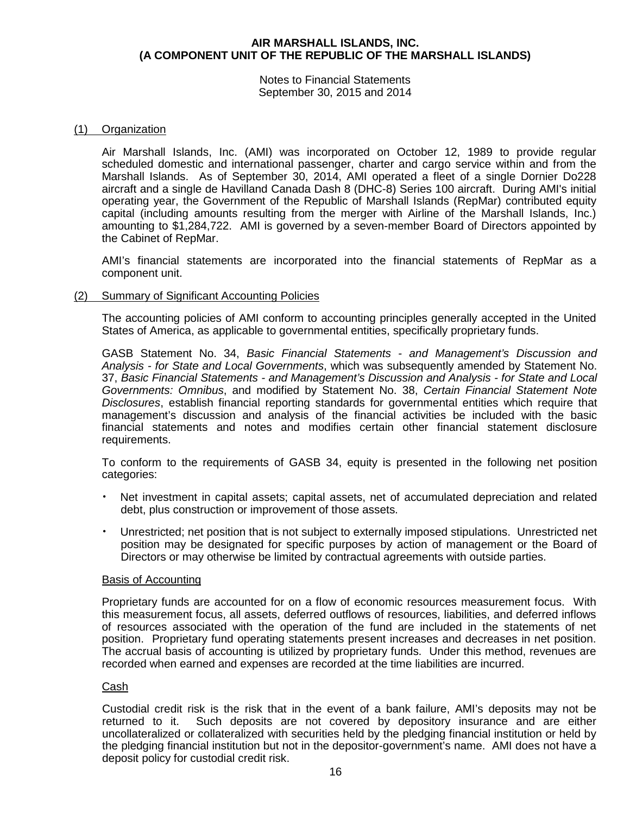Notes to Financial Statements September 30, 2015 and 2014

### (1) Organization

Air Marshall Islands, Inc. (AMI) was incorporated on October 12, 1989 to provide regular scheduled domestic and international passenger, charter and cargo service within and from the Marshall Islands. As of September 30, 2014, AMI operated a fleet of a single Dornier Do228 aircraft and a single de Havilland Canada Dash 8 (DHC-8) Series 100 aircraft. During AMI's initial operating year, the Government of the Republic of Marshall Islands (RepMar) contributed equity capital (including amounts resulting from the merger with Airline of the Marshall Islands, Inc.) amounting to \$1,284,722. AMI is governed by a seven-member Board of Directors appointed by the Cabinet of RepMar.

AMI's financial statements are incorporated into the financial statements of RepMar as a component unit.

# (2) Summary of Significant Accounting Policies

The accounting policies of AMI conform to accounting principles generally accepted in the United States of America, as applicable to governmental entities, specifically proprietary funds.

GASB Statement No. 34, *Basic Financial Statements - and Management's Discussion and Analysis - for State and Local Governments*, which was subsequently amended by Statement No. 37, *Basic Financial Statements - and Management's Discussion and Analysis - for State and Local Governments: Omnibus*, and modified by Statement No. 38, *Certain Financial Statement Note Disclosures*, establish financial reporting standards for governmental entities which require that management's discussion and analysis of the financial activities be included with the basic financial statements and notes and modifies certain other financial statement disclosure requirements.

To conform to the requirements of GASB 34, equity is presented in the following net position categories:

- Net investment in capital assets; capital assets, net of accumulated depreciation and related debt, plus construction or improvement of those assets.
- Unrestricted; net position that is not subject to externally imposed stipulations. Unrestricted net position may be designated for specific purposes by action of management or the Board of Directors or may otherwise be limited by contractual agreements with outside parties.

### Basis of Accounting

Proprietary funds are accounted for on a flow of economic resources measurement focus. With this measurement focus, all assets, deferred outflows of resources, liabilities, and deferred inflows of resources associated with the operation of the fund are included in the statements of net position. Proprietary fund operating statements present increases and decreases in net position. The accrual basis of accounting is utilized by proprietary funds. Under this method, revenues are recorded when earned and expenses are recorded at the time liabilities are incurred.

### Cash

Custodial credit risk is the risk that in the event of a bank failure, AMI's deposits may not be returned to it. Such deposits are not covered by depository insurance and are either uncollateralized or collateralized with securities held by the pledging financial institution or held by the pledging financial institution but not in the depositor-government's name. AMI does not have a deposit policy for custodial credit risk.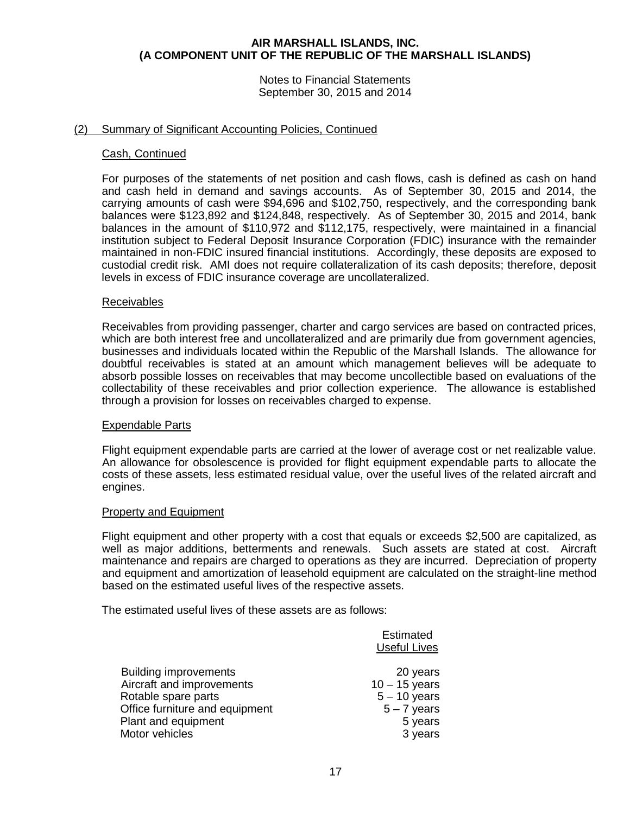Notes to Financial Statements September 30, 2015 and 2014

### (2) Summary of Significant Accounting Policies, Continued

### Cash, Continued

For purposes of the statements of net position and cash flows, cash is defined as cash on hand and cash held in demand and savings accounts. As of September 30, 2015 and 2014, the carrying amounts of cash were \$94,696 and \$102,750, respectively, and the corresponding bank balances were \$123,892 and \$124,848, respectively. As of September 30, 2015 and 2014, bank balances in the amount of \$110,972 and \$112,175, respectively, were maintained in a financial institution subject to Federal Deposit Insurance Corporation (FDIC) insurance with the remainder maintained in non-FDIC insured financial institutions. Accordingly, these deposits are exposed to custodial credit risk. AMI does not require collateralization of its cash deposits; therefore, deposit levels in excess of FDIC insurance coverage are uncollateralized.

### Receivables

Receivables from providing passenger, charter and cargo services are based on contracted prices, which are both interest free and uncollateralized and are primarily due from government agencies, businesses and individuals located within the Republic of the Marshall Islands. The allowance for doubtful receivables is stated at an amount which management believes will be adequate to absorb possible losses on receivables that may become uncollectible based on evaluations of the collectability of these receivables and prior collection experience. The allowance is established through a provision for losses on receivables charged to expense.

#### Expendable Parts

Flight equipment expendable parts are carried at the lower of average cost or net realizable value. An allowance for obsolescence is provided for flight equipment expendable parts to allocate the costs of these assets, less estimated residual value, over the useful lives of the related aircraft and engines.

#### Property and Equipment

Flight equipment and other property with a cost that equals or exceeds \$2,500 are capitalized, as well as major additions, betterments and renewals. Such assets are stated at cost. Aircraft maintenance and repairs are charged to operations as they are incurred. Depreciation of property and equipment and amortization of leasehold equipment are calculated on the straight-line method based on the estimated useful lives of the respective assets.

The estimated useful lives of these assets are as follows:

| <b>Building improvements</b><br>Aircraft and improvements               |                     | Estimated<br><b>Useful Lives</b>                                                     |
|-------------------------------------------------------------------------|---------------------|--------------------------------------------------------------------------------------|
| Office furniture and equipment<br>Plant and equipment<br>Motor vehicles | Rotable spare parts | 20 years<br>$10 - 15$ years<br>$5 - 10$ years<br>$5 - 7$ years<br>5 years<br>3 years |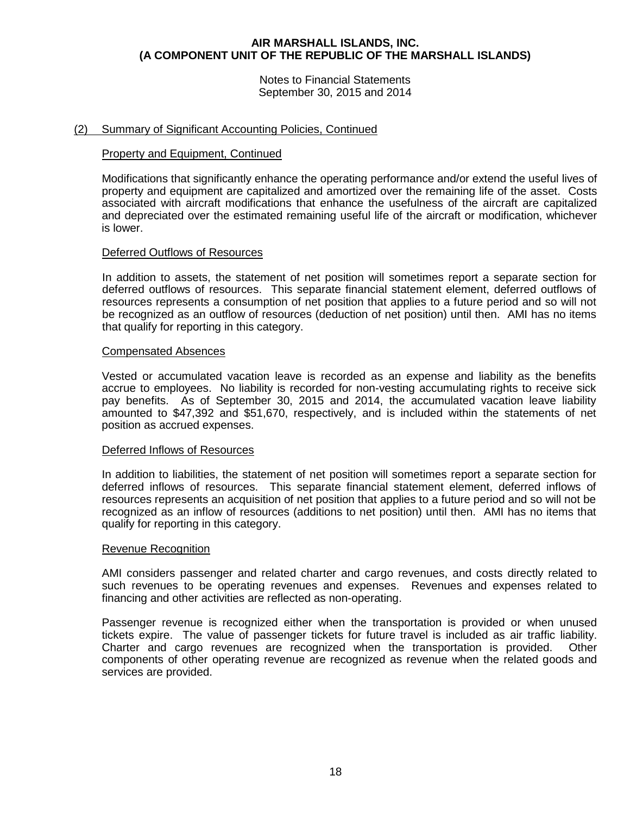Notes to Financial Statements September 30, 2015 and 2014

### (2) Summary of Significant Accounting Policies, Continued

### Property and Equipment, Continued

Modifications that significantly enhance the operating performance and/or extend the useful lives of property and equipment are capitalized and amortized over the remaining life of the asset. Costs associated with aircraft modifications that enhance the usefulness of the aircraft are capitalized and depreciated over the estimated remaining useful life of the aircraft or modification, whichever is lower.

### Deferred Outflows of Resources

In addition to assets, the statement of net position will sometimes report a separate section for deferred outflows of resources. This separate financial statement element, deferred outflows of resources represents a consumption of net position that applies to a future period and so will not be recognized as an outflow of resources (deduction of net position) until then. AMI has no items that qualify for reporting in this category.

#### Compensated Absences

Vested or accumulated vacation leave is recorded as an expense and liability as the benefits accrue to employees. No liability is recorded for non-vesting accumulating rights to receive sick pay benefits. As of September 30, 2015 and 2014, the accumulated vacation leave liability amounted to \$47,392 and \$51,670, respectively, and is included within the statements of net position as accrued expenses.

#### Deferred Inflows of Resources

In addition to liabilities, the statement of net position will sometimes report a separate section for deferred inflows of resources. This separate financial statement element, deferred inflows of resources represents an acquisition of net position that applies to a future period and so will not be recognized as an inflow of resources (additions to net position) until then. AMI has no items that qualify for reporting in this category.

#### Revenue Recognition

AMI considers passenger and related charter and cargo revenues, and costs directly related to such revenues to be operating revenues and expenses. Revenues and expenses related to financing and other activities are reflected as non-operating.

Passenger revenue is recognized either when the transportation is provided or when unused tickets expire. The value of passenger tickets for future travel is included as air traffic liability. Charter and cargo revenues are recognized when the transportation is provided. Other components of other operating revenue are recognized as revenue when the related goods and services are provided.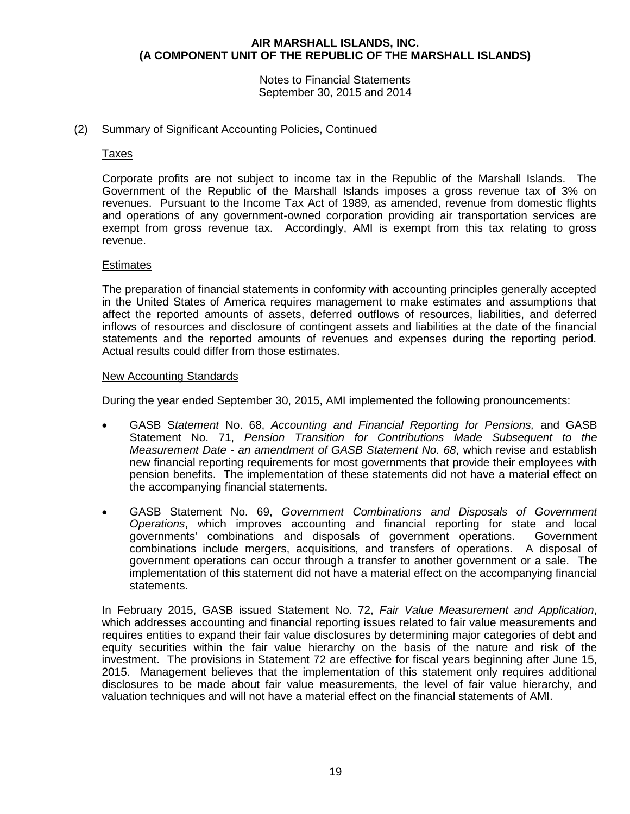Notes to Financial Statements September 30, 2015 and 2014

# (2) Summary of Significant Accounting Policies, Continued

### Taxes

Corporate profits are not subject to income tax in the Republic of the Marshall Islands. The Government of the Republic of the Marshall Islands imposes a gross revenue tax of 3% on revenues. Pursuant to the Income Tax Act of 1989, as amended, revenue from domestic flights and operations of any government-owned corporation providing air transportation services are exempt from gross revenue tax. Accordingly, AMI is exempt from this tax relating to gross revenue.

# **Estimates**

The preparation of financial statements in conformity with accounting principles generally accepted in the United States of America requires management to make estimates and assumptions that affect the reported amounts of assets, deferred outflows of resources, liabilities, and deferred inflows of resources and disclosure of contingent assets and liabilities at the date of the financial statements and the reported amounts of revenues and expenses during the reporting period. Actual results could differ from those estimates.

### New Accounting Standards

During the year ended September 30, 2015, AMI implemented the following pronouncements:

- GASB S*tatement* No. 68, *Accounting and Financial Reporting for Pensions,* and GASB Statement No. 71, *Pension Transition for Contributions Made Subsequent to the Measurement Date - an amendment of GASB Statement No. 68*, which revise and establish new financial reporting requirements for most governments that provide their employees with pension benefits. The implementation of these statements did not have a material effect on the accompanying financial statements.
- GASB Statement No. 69, *Government Combinations and Disposals of Government Operations*, which improves accounting and financial reporting for state and local governments' combinations and disposals of government operations. combinations include mergers, acquisitions, and transfers of operations. A disposal of government operations can occur through a transfer to another government or a sale. The implementation of this statement did not have a material effect on the accompanying financial statements.

In February 2015, GASB issued Statement No. 72, *Fair Value Measurement and Application*, which addresses accounting and financial reporting issues related to fair value measurements and requires entities to expand their fair value disclosures by determining major categories of debt and equity securities within the fair value hierarchy on the basis of the nature and risk of the investment. The provisions in Statement 72 are effective for fiscal years beginning after June 15, 2015. Management believes that the implementation of this statement only requires additional disclosures to be made about fair value measurements, the level of fair value hierarchy, and valuation techniques and will not have a material effect on the financial statements of AMI.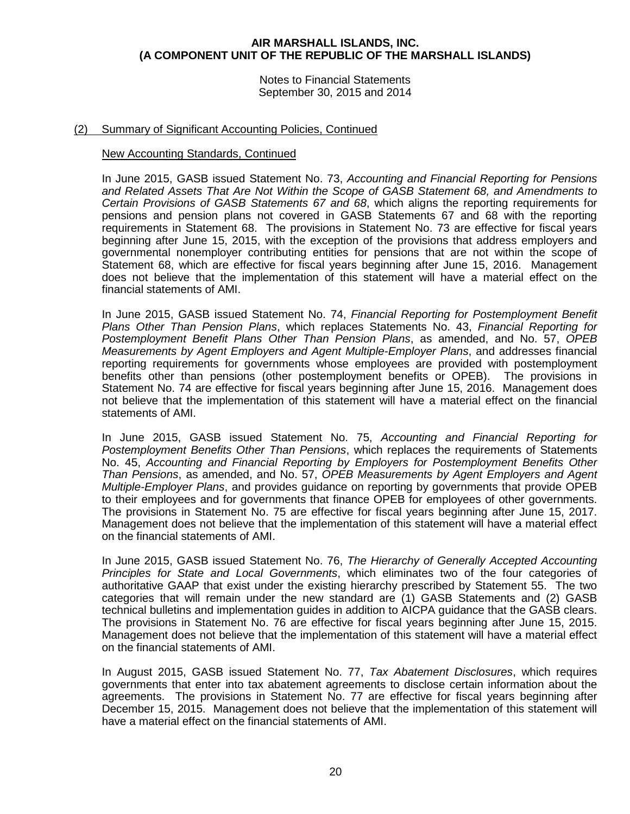Notes to Financial Statements September 30, 2015 and 2014

### (2) Summary of Significant Accounting Policies, Continued

#### New Accounting Standards, Continued

In June 2015, GASB issued Statement No. 73, *Accounting and Financial Reporting for Pensions and Related Assets That Are Not Within the Scope of GASB Statement 68, and Amendments to Certain Provisions of GASB Statements 67 and 68*, which aligns the reporting requirements for pensions and pension plans not covered in GASB Statements 67 and 68 with the reporting requirements in Statement 68. The provisions in Statement No. 73 are effective for fiscal years beginning after June 15, 2015, with the exception of the provisions that address employers and governmental nonemployer contributing entities for pensions that are not within the scope of Statement 68, which are effective for fiscal years beginning after June 15, 2016. Management does not believe that the implementation of this statement will have a material effect on the financial statements of AMI.

In June 2015, GASB issued Statement No. 74, *Financial Reporting for Postemployment Benefit Plans Other Than Pension Plans*, which replaces Statements No. 43, *Financial Reporting for Postemployment Benefit Plans Other Than Pension Plans*, as amended, and No. 57, *OPEB Measurements by Agent Employers and Agent Multiple-Employer Plans*, and addresses financial reporting requirements for governments whose employees are provided with postemployment benefits other than pensions (other postemployment benefits or OPEB). The provisions in Statement No. 74 are effective for fiscal years beginning after June 15, 2016. Management does not believe that the implementation of this statement will have a material effect on the financial statements of AMI.

In June 2015, GASB issued Statement No. 75, *Accounting and Financial Reporting for Postemployment Benefits Other Than Pensions*, which replaces the requirements of Statements No. 45, *Accounting and Financial Reporting by Employers for Postemployment Benefits Other Than Pensions*, as amended, and No. 57, *OPEB Measurements by Agent Employers and Agent Multiple-Employer Plans*, and provides guidance on reporting by governments that provide OPEB to their employees and for governments that finance OPEB for employees of other governments. The provisions in Statement No. 75 are effective for fiscal years beginning after June 15, 2017. Management does not believe that the implementation of this statement will have a material effect on the financial statements of AMI.

In June 2015, GASB issued Statement No. 76, *The Hierarchy of Generally Accepted Accounting Principles for State and Local Governments*, which eliminates two of the four categories of authoritative GAAP that exist under the existing hierarchy prescribed by Statement 55. The two categories that will remain under the new standard are (1) GASB Statements and (2) GASB technical bulletins and implementation guides in addition to AICPA guidance that the GASB clears. The provisions in Statement No. 76 are effective for fiscal years beginning after June 15, 2015. Management does not believe that the implementation of this statement will have a material effect on the financial statements of AMI.

In August 2015, GASB issued Statement No. 77, *Tax Abatement Disclosures*, which requires governments that enter into tax abatement agreements to disclose certain information about the agreements. The provisions in Statement No. 77 are effective for fiscal years beginning after December 15, 2015. Management does not believe that the implementation of this statement will have a material effect on the financial statements of AMI.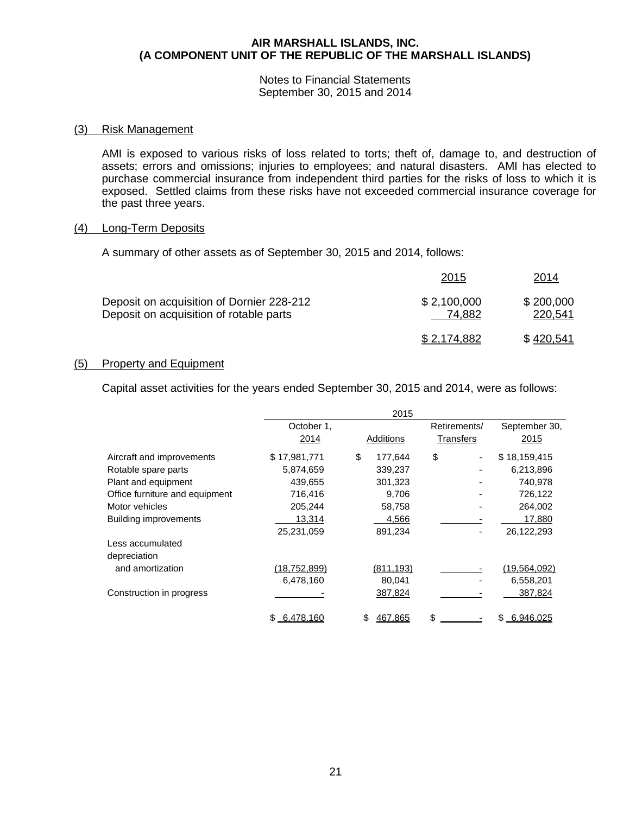Notes to Financial Statements September 30, 2015 and 2014

#### (3) Risk Management

AMI is exposed to various risks of loss related to torts; theft of, damage to, and destruction of assets; errors and omissions; injuries to employees; and natural disasters. AMI has elected to purchase commercial insurance from independent third parties for the risks of loss to which it is exposed. Settled claims from these risks have not exceeded commercial insurance coverage for the past three years.

### (4) Long-Term Deposits

A summary of other assets as of September 30, 2015 and 2014, follows:

|                                                                                      | 2015                  | 2014                 |
|--------------------------------------------------------------------------------------|-----------------------|----------------------|
| Deposit on acquisition of Dornier 228-212<br>Deposit on acquisition of rotable parts | \$2,100,000<br>74.882 | \$200,000<br>220,541 |
|                                                                                      | \$2,174,882           | \$420,541            |

### (5) Property and Equipment

Capital asset activities for the years ended September 30, 2015 and 2014, were as follows:

|                                |              | 2015          |              |               |
|--------------------------------|--------------|---------------|--------------|---------------|
|                                | October 1,   |               | Retirements/ | September 30, |
|                                | 2014         | Additions     | Transfers    | 2015          |
| Aircraft and improvements      | \$17,981,771 | \$<br>177,644 | \$           | \$18,159,415  |
| Rotable spare parts            | 5,874,659    | 339,237       |              | 6,213,896     |
| Plant and equipment            | 439,655      | 301,323       |              | 740,978       |
| Office furniture and equipment | 716,416      | 9,706         |              | 726,122       |
| Motor vehicles                 | 205,244      | 58,758        |              | 264,002       |
| <b>Building improvements</b>   | 13,314       | 4,566         |              | 17,880        |
|                                | 25,231,059   | 891,234       |              | 26,122,293    |
| Less accumulated               |              |               |              |               |
| depreciation                   |              |               |              |               |
| and amortization               | (18,752,899) | (811, 193)    |              | (19,564,092)  |
|                                | 6,478,160    | 80,041        |              | 6,558,201     |
| Construction in progress       |              | 387,824       |              | 387,824       |
|                                | \$6.478.160  | 467.865       | \$           | 6.946.0       |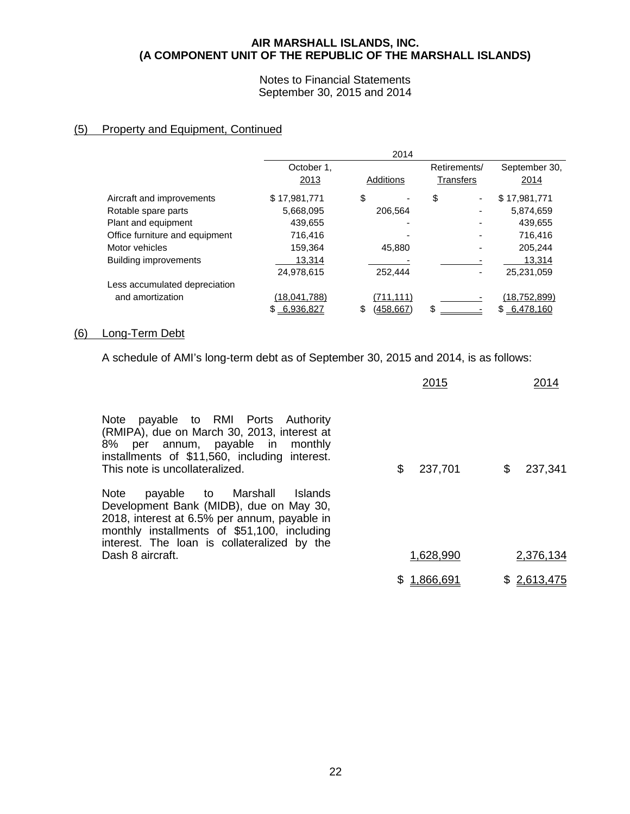Notes to Financial Statements September 30, 2015 and 2014

# (5) Property and Equipment, Continued

|                                |              | 2014            |              |                |
|--------------------------------|--------------|-----------------|--------------|----------------|
|                                | October 1,   |                 | Retirements/ | September 30,  |
|                                | 2013         | Additions       | Transfers    | 2014           |
| Aircraft and improvements      | \$17,981,771 | \$              | \$           | \$17,981,771   |
| Rotable spare parts            | 5,668,095    | 206.564         |              | 5,874,659      |
| Plant and equipment            | 439,655      |                 |              | 439,655        |
| Office furniture and equipment | 716.416      |                 |              | 716.416        |
| Motor vehicles                 | 159,364      | 45.880          |              | 205,244        |
| <b>Building improvements</b>   | 13,314       |                 |              | 13,314         |
|                                | 24,978,615   | 252.444         |              | 25,231,059     |
| Less accumulated depreciation  |              |                 |              |                |
| and amortization               | (18,041,788) | (711, 111)      |              | (18, 752, 899) |
|                                | \$ 6.936.827 | (458.667)<br>\$ | \$           | \$ 6.478.160   |

# (6) Long-Term Debt

A schedule of AMI's long-term debt as of September 30, 2015 and 2014, is as follows:

|                                                                                                                                                                                                                                        | 2015          | 2014          |
|----------------------------------------------------------------------------------------------------------------------------------------------------------------------------------------------------------------------------------------|---------------|---------------|
| payable to RMI Ports Authority<br>Note<br>(RMIPA), due on March 30, 2013, interest at<br>per annum, payable in monthly<br>8%<br>installments of \$11,560, including interest.<br>This note is uncollateralized.                        | \$<br>237,701 | \$<br>237,341 |
| payable to Marshall<br><b>Note</b><br>Islands<br>Development Bank (MIDB), due on May 30,<br>2018, interest at 6.5% per annum, payable in<br>monthly installments of \$51,100, including<br>interest. The loan is collateralized by the |               |               |
| Dash 8 aircraft.                                                                                                                                                                                                                       | 1,628,990     | 2,376,134     |
|                                                                                                                                                                                                                                        | 1,866,691     | \$2,613,475   |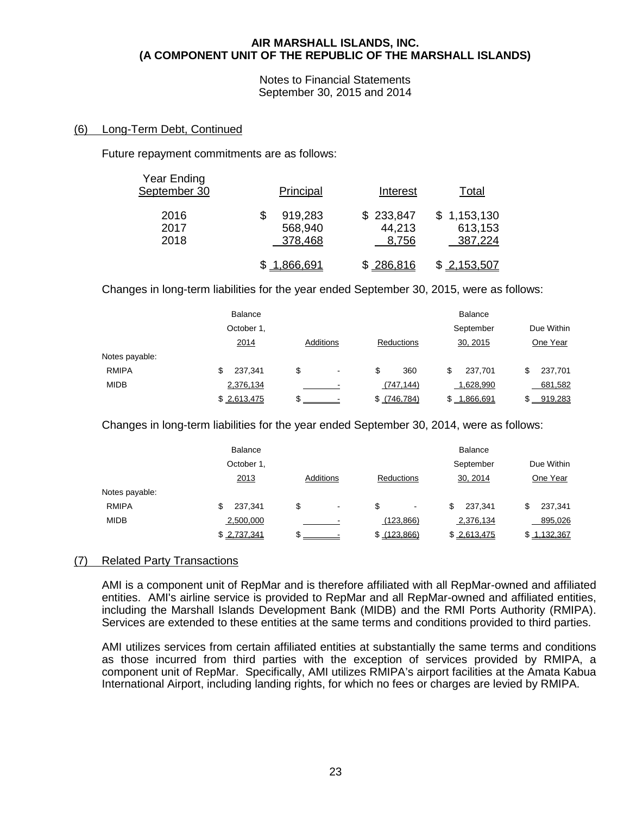Notes to Financial Statements September 30, 2015 and 2014

### (6) Long-Term Debt, Continued

Future repayment commitments are as follows:

| Year Ending<br>September 30 | Principal                     | Interest                     | Total                             |
|-----------------------------|-------------------------------|------------------------------|-----------------------------------|
| 2016<br>2017<br>2018        | 919,283<br>568,940<br>378,468 | \$233,847<br>44,213<br>8,756 | \$1,153,130<br>613,153<br>387,224 |
|                             | \$1,866,691                   | \$286,816                    | \$2,153,507                       |

Changes in long-term liabilities for the year ended September 30, 2015, were as follows:

|                | <b>Balance</b> |                               |                   | <b>Balance</b> |            |
|----------------|----------------|-------------------------------|-------------------|----------------|------------|
|                | October 1,     |                               |                   | September      | Due Within |
|                | 2014           | Additions                     | <b>Reductions</b> | 30, 2015       | One Year   |
| Notes payable: |                |                               |                   |                |            |
| <b>RMIPA</b>   | 237.341<br>S   | S<br>$\overline{\phantom{a}}$ | \$<br>360         | 237.701<br>\$  | 237,701    |
| <b>MIDB</b>    | 2,376,134      |                               | (747, 144)        | 1,628,990      | 681,582    |
|                | \$2.613.475    |                               | \$ (746.784)      | \$ 1.866.691   | 919.283    |

Changes in long-term liabilities for the year ended September 30, 2014, were as follows:

|                | <b>Balance</b> |                                |                   | <b>Balance</b> |             |
|----------------|----------------|--------------------------------|-------------------|----------------|-------------|
|                | October 1,     |                                |                   | September      | Due Within  |
|                | 2013           | Additions                      | <b>Reductions</b> | 30, 2014       | One Year    |
| Notes payable: |                |                                |                   |                |             |
| <b>RMIPA</b>   | 237,341<br>\$  | \$<br>$\overline{\phantom{a}}$ | S                 | 237.341<br>\$  | 237,341     |
| <b>MIDB</b>    | 2,500,000      |                                | (123, 866)        | 2,376,134      | 895,026     |
|                | \$2,737,341    |                                | \$(123, 866)      | \$2,613,475    | \$1,132,367 |

### (7) Related Party Transactions

AMI is a component unit of RepMar and is therefore affiliated with all RepMar-owned and affiliated entities. AMI's airline service is provided to RepMar and all RepMar-owned and affiliated entities, including the Marshall Islands Development Bank (MIDB) and the RMI Ports Authority (RMIPA). Services are extended to these entities at the same terms and conditions provided to third parties.

AMI utilizes services from certain affiliated entities at substantially the same terms and conditions as those incurred from third parties with the exception of services provided by RMIPA, a component unit of RepMar. Specifically, AMI utilizes RMIPA's airport facilities at the Amata Kabua International Airport, including landing rights, for which no fees or charges are levied by RMIPA.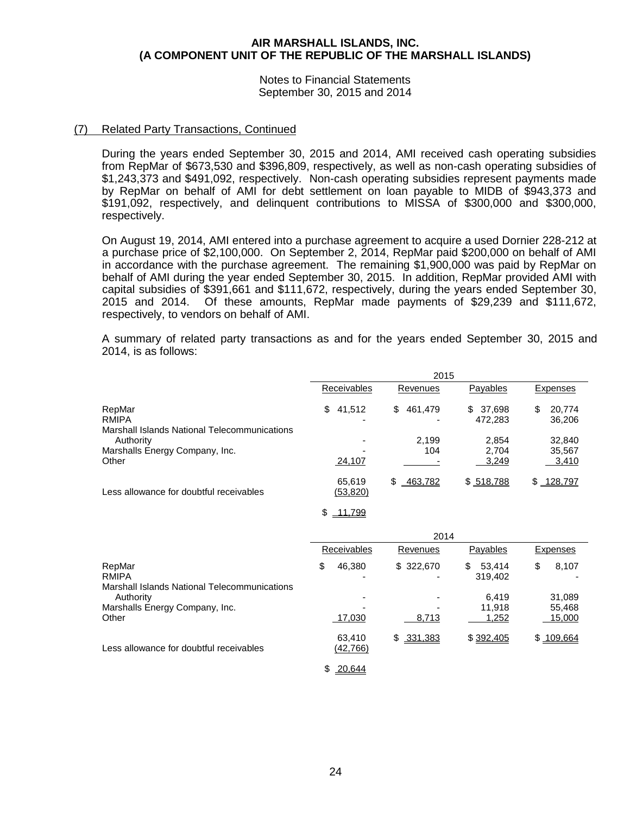Notes to Financial Statements September 30, 2015 and 2014

### (7) Related Party Transactions, Continued

During the years ended September 30, 2015 and 2014, AMI received cash operating subsidies from RepMar of \$673,530 and \$396,809, respectively, as well as non-cash operating subsidies of \$1,243,373 and \$491,092, respectively. Non-cash operating subsidies represent payments made by RepMar on behalf of AMI for debt settlement on loan payable to MIDB of \$943,373 and \$191,092, respectively, and delinquent contributions to MISSA of \$300,000 and \$300,000, respectively.

On August 19, 2014, AMI entered into a purchase agreement to acquire a used Dornier 228-212 at a purchase price of \$2,100,000. On September 2, 2014, RepMar paid \$200,000 on behalf of AMI in accordance with the purchase agreement. The remaining \$1,900,000 was paid by RepMar on behalf of AMI during the year ended September 30, 2015. In addition, RepMar provided AMI with capital subsidies of \$391,661 and \$111,672, respectively, during the years ended September 30, 2015 and 2014. Of these amounts, RepMar made payments of \$29,239 and \$111,672, respectively, to vendors on behalf of AMI.

A summary of related party transactions as and for the years ended September 30, 2015 and 2014, is as follows:

|                                                                        |                    | 2015               |                          |                        |
|------------------------------------------------------------------------|--------------------|--------------------|--------------------------|------------------------|
|                                                                        | <b>Receivables</b> | Revenues           | Payables                 | Expenses               |
| RepMar<br><b>RMIPA</b><br>Marshall Islands National Telecommunications | \$41,512           | 461,479<br>\$<br>۰ | 37.698<br>\$.<br>472.283 | 20.774<br>\$<br>36,206 |
| Authority<br>Marshalls Energy Company, Inc.                            |                    | 2.199<br>104       | 2.854<br>2.704           | 32,840<br>35,567       |
| Other                                                                  | 24,107             |                    | 3,249                    | 3,410                  |
| Less allowance for doubtful receivables                                | 65.619<br>(53,820) | 463.782<br>\$.     | \$518.788                | \$ 128,797             |

 $$ 11,799$ 

|                                                                        |                     | 2014      |                          |                            |
|------------------------------------------------------------------------|---------------------|-----------|--------------------------|----------------------------|
|                                                                        | Receivables         | Revenues  | Payables                 | Expenses                   |
| RepMar<br><b>RMIPA</b><br>Marshall Islands National Telecommunications | \$<br>46,380        | \$322,670 | 53,414<br>\$<br>319,402  | \$<br>8,107                |
| Authority<br>Marshalls Energy Company, Inc.<br>Other                   | -<br>17,030         | 8,713     | 6.419<br>11.918<br>1,252 | 31,089<br>55,468<br>15,000 |
| Less allowance for doubtful receivables                                | 63.410<br>(42, 766) | \$331,383 | \$392,405                | \$109,664                  |
|                                                                        | 20,644<br>\$.       |           |                          |                            |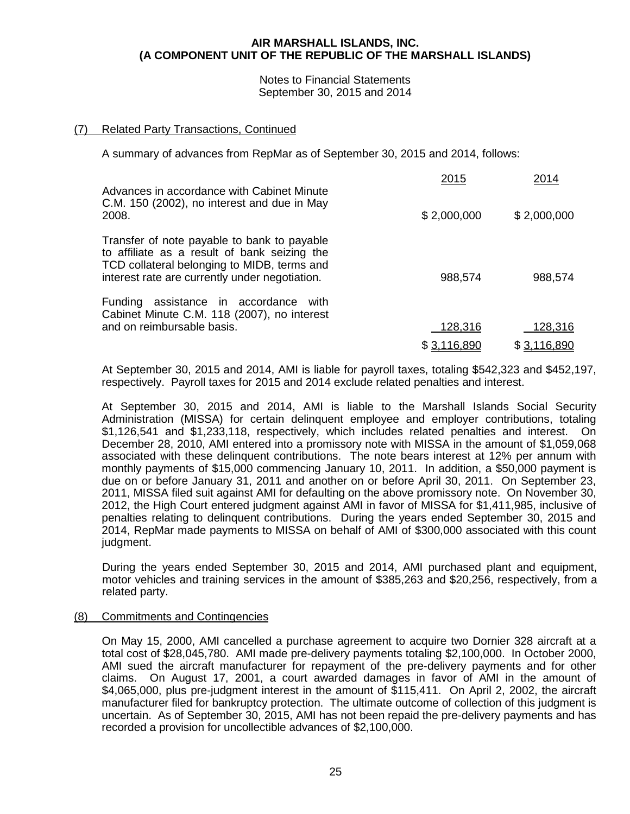Notes to Financial Statements September 30, 2015 and 2014

# (7) Related Party Transactions, Continued

A summary of advances from RepMar as of September 30, 2015 and 2014, follows:

| Advances in accordance with Cabinet Minute                                                                                                                                                   | 2015        | 2014        |
|----------------------------------------------------------------------------------------------------------------------------------------------------------------------------------------------|-------------|-------------|
| C.M. 150 (2002), no interest and due in May<br>2008.                                                                                                                                         | \$2,000,000 | \$2,000,000 |
| Transfer of note payable to bank to payable<br>to affiliate as a result of bank seizing the<br>TCD collateral belonging to MIDB, terms and<br>interest rate are currently under negotiation. | 988,574     | 988,574     |
| Funding assistance in accordance with<br>Cabinet Minute C.M. 118 (2007), no interest<br>and on reimbursable basis.                                                                           | 128,316     | 128,316     |
|                                                                                                                                                                                              | \$3,116,890 | \$3,116,890 |

At September 30, 2015 and 2014, AMI is liable for payroll taxes, totaling \$542,323 and \$452,197, respectively. Payroll taxes for 2015 and 2014 exclude related penalties and interest.

At September 30, 2015 and 2014, AMI is liable to the Marshall Islands Social Security Administration (MISSA) for certain delinquent employee and employer contributions, totaling \$1,126,541 and \$1,233,118, respectively, which includes related penalties and interest. On December 28, 2010, AMI entered into a promissory note with MISSA in the amount of \$1,059,068 associated with these delinquent contributions. The note bears interest at 12% per annum with monthly payments of \$15,000 commencing January 10, 2011. In addition, a \$50,000 payment is due on or before January 31, 2011 and another on or before April 30, 2011. On September 23, 2011, MISSA filed suit against AMI for defaulting on the above promissory note. On November 30, 2012, the High Court entered judgment against AMI in favor of MISSA for \$1,411,985, inclusive of penalties relating to delinquent contributions. During the years ended September 30, 2015 and 2014, RepMar made payments to MISSA on behalf of AMI of \$300,000 associated with this count judgment.

During the years ended September 30, 2015 and 2014, AMI purchased plant and equipment, motor vehicles and training services in the amount of \$385,263 and \$20,256, respectively, from a related party.

### (8) Commitments and Contingencies

On May 15, 2000, AMI cancelled a purchase agreement to acquire two Dornier 328 aircraft at a total cost of \$28,045,780. AMI made pre-delivery payments totaling \$2,100,000. In October 2000, AMI sued the aircraft manufacturer for repayment of the pre-delivery payments and for other claims. On August 17, 2001, a court awarded damages in favor of AMI in the amount of \$4,065,000, plus pre-judgment interest in the amount of \$115,411. On April 2, 2002, the aircraft manufacturer filed for bankruptcy protection. The ultimate outcome of collection of this judgment is uncertain. As of September 30, 2015, AMI has not been repaid the pre-delivery payments and has recorded a provision for uncollectible advances of \$2,100,000.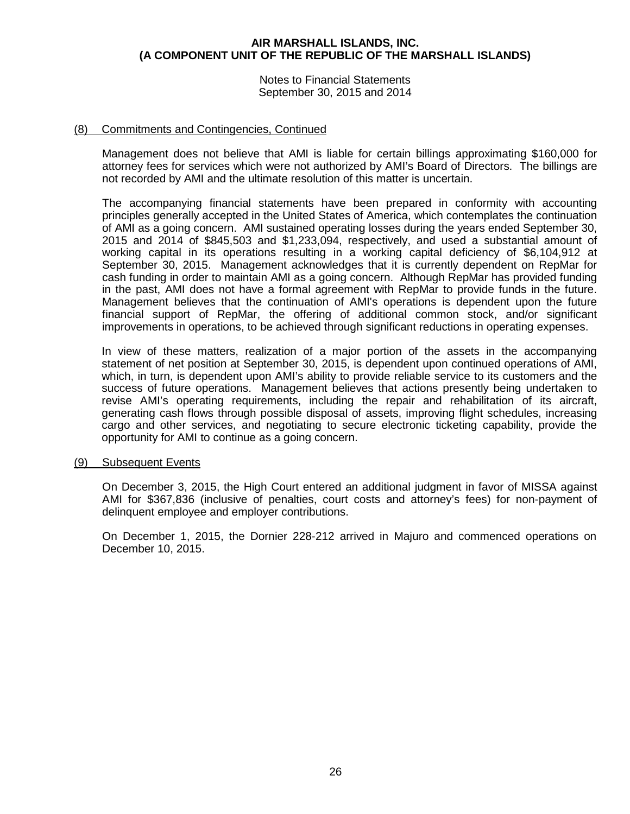Notes to Financial Statements September 30, 2015 and 2014

### (8) Commitments and Contingencies, Continued

Management does not believe that AMI is liable for certain billings approximating \$160,000 for attorney fees for services which were not authorized by AMI's Board of Directors. The billings are not recorded by AMI and the ultimate resolution of this matter is uncertain.

The accompanying financial statements have been prepared in conformity with accounting principles generally accepted in the United States of America, which contemplates the continuation of AMI as a going concern. AMI sustained operating losses during the years ended September 30, 2015 and 2014 of \$845,503 and \$1,233,094, respectively, and used a substantial amount of working capital in its operations resulting in a working capital deficiency of \$6,104,912 at September 30, 2015. Management acknowledges that it is currently dependent on RepMar for cash funding in order to maintain AMI as a going concern. Although RepMar has provided funding in the past, AMI does not have a formal agreement with RepMar to provide funds in the future. Management believes that the continuation of AMI's operations is dependent upon the future financial support of RepMar, the offering of additional common stock, and/or significant improvements in operations, to be achieved through significant reductions in operating expenses.

In view of these matters, realization of a major portion of the assets in the accompanying statement of net position at September 30, 2015, is dependent upon continued operations of AMI, which, in turn, is dependent upon AMI's ability to provide reliable service to its customers and the success of future operations. Management believes that actions presently being undertaken to revise AMI's operating requirements, including the repair and rehabilitation of its aircraft, generating cash flows through possible disposal of assets, improving flight schedules, increasing cargo and other services, and negotiating to secure electronic ticketing capability, provide the opportunity for AMI to continue as a going concern.

### (9) Subsequent Events

On December 3, 2015, the High Court entered an additional judgment in favor of MISSA against AMI for \$367,836 (inclusive of penalties, court costs and attorney's fees) for non-payment of delinquent employee and employer contributions.

On December 1, 2015, the Dornier 228-212 arrived in Majuro and commenced operations on December 10, 2015.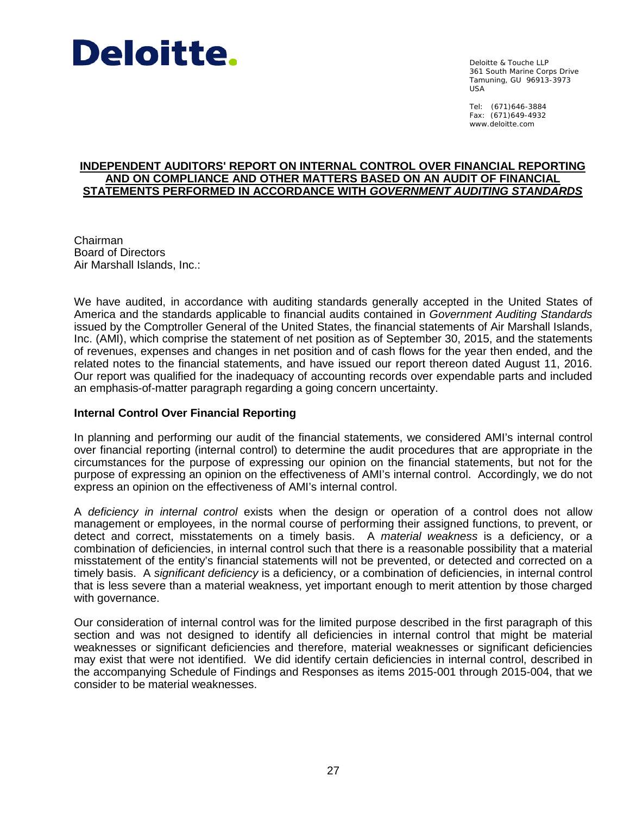

Deloitte & Touche LLP 361 South Marine Corps Drive Tamuning, GU 96913-3973 USA

Tel: (671)646-3884 Fax: (671)649-4932 www.deloitte.com

### **INDEPENDENT AUDITORS' REPORT ON INTERNAL CONTROL OVER FINANCIAL REPORTING AND ON COMPLIANCE AND OTHER MATTERS BASED ON AN AUDIT OF FINANCIAL STATEMENTS PERFORMED IN ACCORDANCE WITH** *GOVERNMENT AUDITING STANDARDS*

Chairman Board of Directors Air Marshall Islands, Inc.:

We have audited, in accordance with auditing standards generally accepted in the United States of America and the standards applicable to financial audits contained in *Government Auditing Standards* issued by the Comptroller General of the United States, the financial statements of Air Marshall Islands, Inc. (AMI), which comprise the statement of net position as of September 30, 2015, and the statements of revenues, expenses and changes in net position and of cash flows for the year then ended, and the related notes to the financial statements, and have issued our report thereon dated August 11, 2016. Our report was qualified for the inadequacy of accounting records over expendable parts and included an emphasis-of-matter paragraph regarding a going concern uncertainty.

### **Internal Control Over Financial Reporting**

In planning and performing our audit of the financial statements, we considered AMI's internal control over financial reporting (internal control) to determine the audit procedures that are appropriate in the circumstances for the purpose of expressing our opinion on the financial statements, but not for the purpose of expressing an opinion on the effectiveness of AMI's internal control. Accordingly, we do not express an opinion on the effectiveness of AMI's internal control.

A *deficiency in internal control* exists when the design or operation of a control does not allow management or employees, in the normal course of performing their assigned functions, to prevent, or detect and correct, misstatements on a timely basis. A *material weakness* is a deficiency, or a combination of deficiencies, in internal control such that there is a reasonable possibility that a material misstatement of the entity's financial statements will not be prevented, or detected and corrected on a timely basis. A *significant deficiency* is a deficiency, or a combination of deficiencies, in internal control that is less severe than a material weakness, yet important enough to merit attention by those charged with governance.

Our consideration of internal control was for the limited purpose described in the first paragraph of this section and was not designed to identify all deficiencies in internal control that might be material weaknesses or significant deficiencies and therefore, material weaknesses or significant deficiencies may exist that were not identified. We did identify certain deficiencies in internal control, described in the accompanying Schedule of Findings and Responses as items 2015-001 through 2015-004, that we consider to be material weaknesses.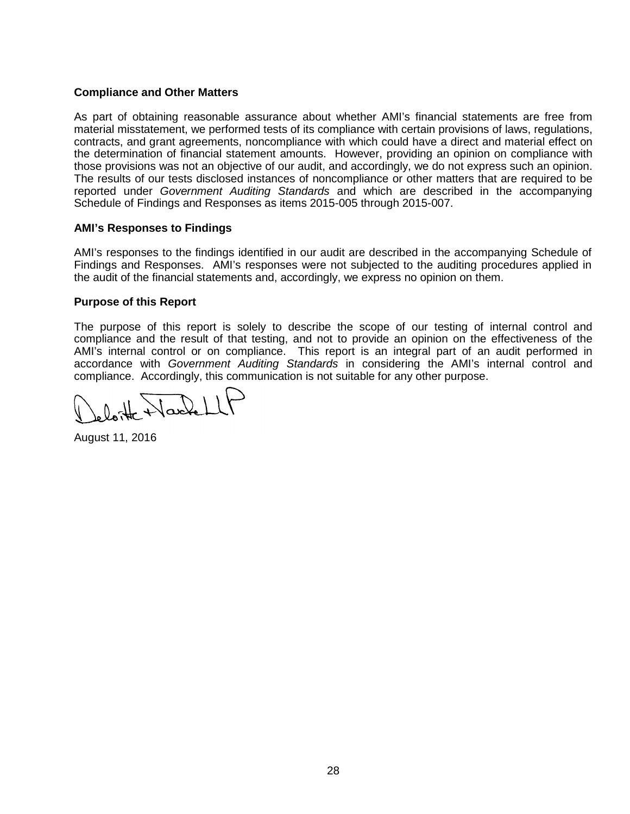# **Compliance and Other Matters**

As part of obtaining reasonable assurance about whether AMI's financial statements are free from material misstatement, we performed tests of its compliance with certain provisions of laws, regulations, contracts, and grant agreements, noncompliance with which could have a direct and material effect on the determination of financial statement amounts. However, providing an opinion on compliance with those provisions was not an objective of our audit, and accordingly, we do not express such an opinion. The results of our tests disclosed instances of noncompliance or other matters that are required to be reported under *Government Auditing Standards* and which are described in the accompanying Schedule of Findings and Responses as items 2015-005 through 2015-007.

# **AMI's Responses to Findings**

AMI's responses to the findings identified in our audit are described in the accompanying Schedule of Findings and Responses. AMI's responses were not subjected to the auditing procedures applied in the audit of the financial statements and, accordingly, we express no opinion on them.

### **Purpose of this Report**

The purpose of this report is solely to describe the scope of our testing of internal control and compliance and the result of that testing, and not to provide an opinion on the effectiveness of the AMI's internal control or on compliance. This report is an integral part of an audit performed in accordance with *Government Auditing Standards* in considering the AMI's internal control and compliance. Accordingly, this communication is not suitable for any other purpose.

 $\sqrt{a^2 + b^2}$ 

August 11, 2016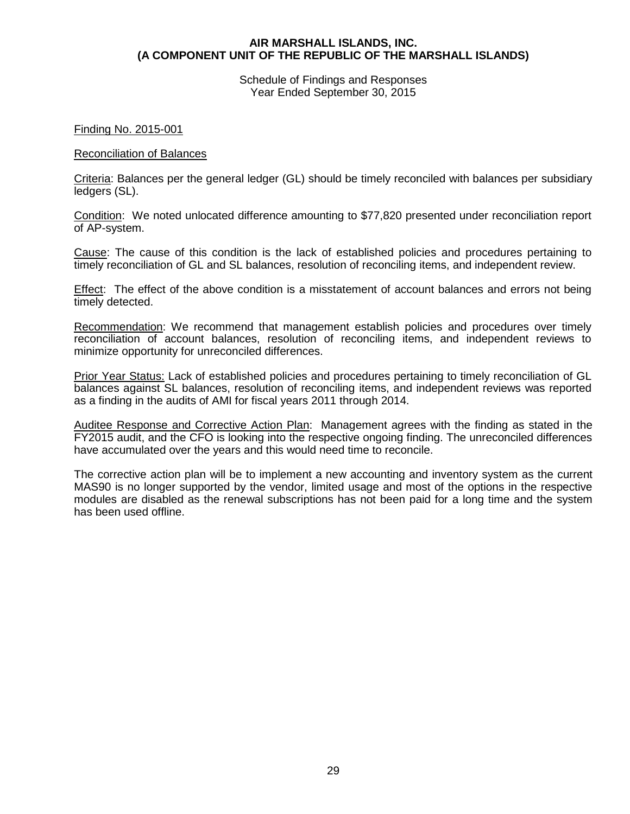Schedule of Findings and Responses Year Ended September 30, 2015

### Finding No. 2015-001

#### Reconciliation of Balances

Criteria: Balances per the general ledger (GL) should be timely reconciled with balances per subsidiary ledgers (SL).

Condition: We noted unlocated difference amounting to \$77,820 presented under reconciliation report of AP-system.

Cause: The cause of this condition is the lack of established policies and procedures pertaining to timely reconciliation of GL and SL balances, resolution of reconciling items, and independent review.

Effect: The effect of the above condition is a misstatement of account balances and errors not being timely detected.

Recommendation: We recommend that management establish policies and procedures over timely reconciliation of account balances, resolution of reconciling items, and independent reviews to minimize opportunity for unreconciled differences.

Prior Year Status: Lack of established policies and procedures pertaining to timely reconciliation of GL balances against SL balances, resolution of reconciling items, and independent reviews was reported as a finding in the audits of AMI for fiscal years 2011 through 2014.

Auditee Response and Corrective Action Plan: Management agrees with the finding as stated in the FY2015 audit, and the CFO is looking into the respective ongoing finding. The unreconciled differences have accumulated over the years and this would need time to reconcile.

The corrective action plan will be to implement a new accounting and inventory system as the current MAS90 is no longer supported by the vendor, limited usage and most of the options in the respective modules are disabled as the renewal subscriptions has not been paid for a long time and the system has been used offline.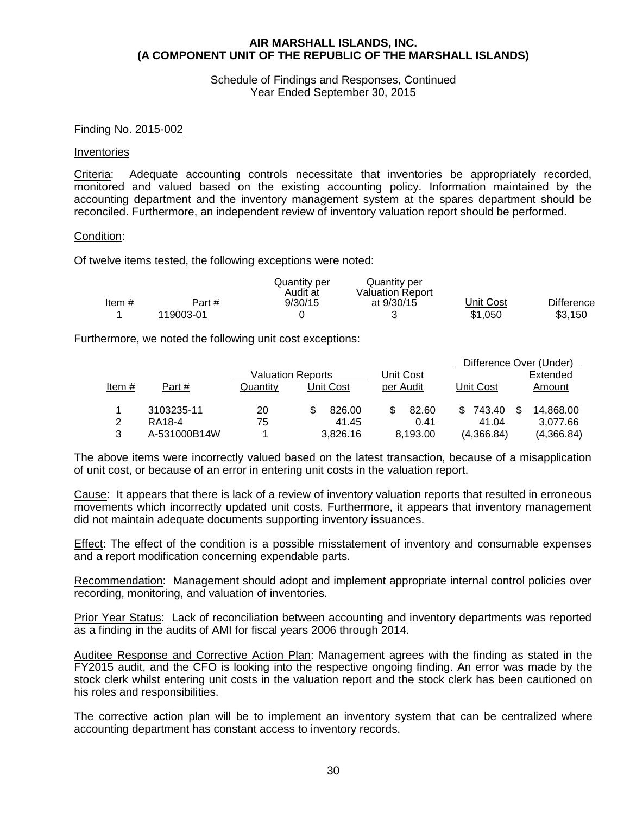Schedule of Findings and Responses, Continued Year Ended September 30, 2015

#### Finding No. 2015-002

#### Inventories

Criteria: Adequate accounting controls necessitate that inventories be appropriately recorded, monitored and valued based on the existing accounting policy. Information maintained by the accounting department and the inventory management system at the spares department should be reconciled. Furthermore, an independent review of inventory valuation report should be performed.

### Condition:

Of twelve items tested, the following exceptions were noted:

|          |           | Quantity per | Quantity per     |           |            |
|----------|-----------|--------------|------------------|-----------|------------|
|          |           | Audit at     | Valuation Report |           |            |
| Item $#$ | Part #    | 9/30/15      | at 9/30/15       | Unit Cost | Difference |
|          | 119003-01 |              |                  | \$1,050   | \$3,150    |

Furthermore, we noted the following unit cost exceptions:

|       |              |                          |           |           | Difference Over (Under) |            |
|-------|--------------|--------------------------|-----------|-----------|-------------------------|------------|
|       |              | <b>Valuation Reports</b> |           | Unit Cost |                         | Extended   |
| Item# | Part#        | Quantity                 | Unit Cost | per Audit | Unit Cost               | Amount     |
|       |              |                          |           |           |                         |            |
|       | 3103235-11   | 20                       | 826.00    | 82.60     | 743.40                  | 14,868.00  |
| 2     | RA18-4       | 75                       | 41.45     | 0.41      | 41.04                   | 3,077.66   |
| 3     | A-531000B14W |                          | 3,826.16  | 8,193.00  | (4,366.84)              | (4,366.84) |

The above items were incorrectly valued based on the latest transaction, because of a misapplication of unit cost, or because of an error in entering unit costs in the valuation report.

Cause: It appears that there is lack of a review of inventory valuation reports that resulted in erroneous movements which incorrectly updated unit costs. Furthermore, it appears that inventory management did not maintain adequate documents supporting inventory issuances.

Effect: The effect of the condition is a possible misstatement of inventory and consumable expenses and a report modification concerning expendable parts.

Recommendation: Management should adopt and implement appropriate internal control policies over recording, monitoring, and valuation of inventories.

Prior Year Status: Lack of reconciliation between accounting and inventory departments was reported as a finding in the audits of AMI for fiscal years 2006 through 2014.

Auditee Response and Corrective Action Plan: Management agrees with the finding as stated in the FY2015 audit, and the CFO is looking into the respective ongoing finding. An error was made by the stock clerk whilst entering unit costs in the valuation report and the stock clerk has been cautioned on his roles and responsibilities.

The corrective action plan will be to implement an inventory system that can be centralized where accounting department has constant access to inventory records.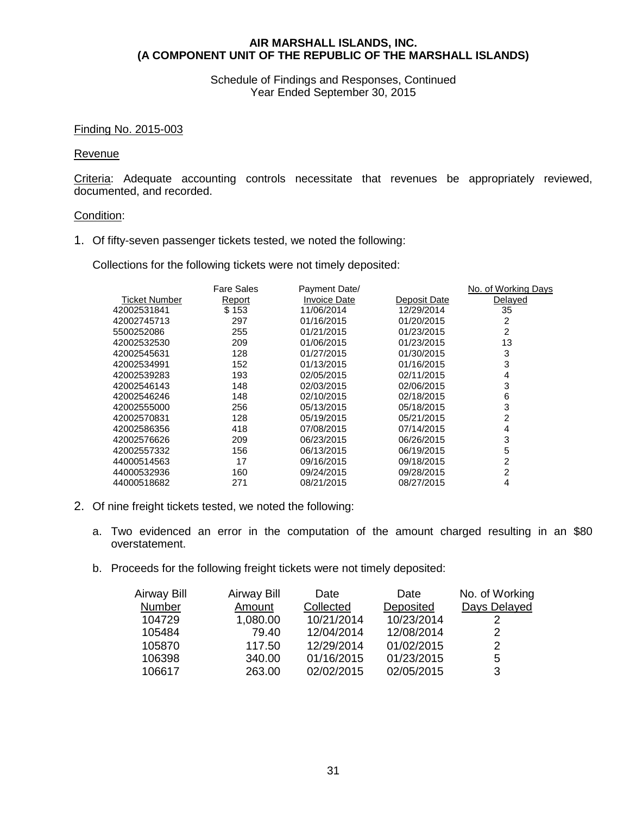Schedule of Findings and Responses, Continued Year Ended September 30, 2015

#### Finding No. 2015-003

#### **Revenue**

Criteria: Adequate accounting controls necessitate that revenues be appropriately reviewed, documented, and recorded.

#### Condition:

1. Of fifty-seven passenger tickets tested, we noted the following:

Collections for the following tickets were not timely deposited:

|               | <b>Fare Sales</b> | Payment Date/ |              | No. of Working Days |
|---------------|-------------------|---------------|--------------|---------------------|
| Ticket Number | Report            | Invoice Date  | Deposit Date | Delayed             |
| 42002531841   | \$153             | 11/06/2014    | 12/29/2014   | 35                  |
| 42002745713   | 297               | 01/16/2015    | 01/20/2015   | 2                   |
| 5500252086    | 255               | 01/21/2015    | 01/23/2015   | 2                   |
| 42002532530   | 209               | 01/06/2015    | 01/23/2015   | 13                  |
| 42002545631   | 128               | 01/27/2015    | 01/30/2015   | 3                   |
| 42002534991   | 152               | 01/13/2015    | 01/16/2015   | 3                   |
| 42002539283   | 193               | 02/05/2015    | 02/11/2015   | 4                   |
| 42002546143   | 148               | 02/03/2015    | 02/06/2015   | 3                   |
| 42002546246   | 148               | 02/10/2015    | 02/18/2015   | 6                   |
| 42002555000   | 256               | 05/13/2015    | 05/18/2015   | 3                   |
| 42002570831   | 128               | 05/19/2015    | 05/21/2015   | 2                   |
| 42002586356   | 418               | 07/08/2015    | 07/14/2015   | 4                   |
| 42002576626   | 209               | 06/23/2015    | 06/26/2015   | 3                   |
| 42002557332   | 156               | 06/13/2015    | 06/19/2015   | 5                   |
| 44000514563   | 17                | 09/16/2015    | 09/18/2015   | 2                   |
| 44000532936   | 160               | 09/24/2015    | 09/28/2015   | 2                   |
| 44000518682   | 271               | 08/21/2015    | 08/27/2015   | 4                   |

- 2. Of nine freight tickets tested, we noted the following:
	- a. Two evidenced an error in the computation of the amount charged resulting in an \$80 overstatement.
	- b. Proceeds for the following freight tickets were not timely deposited:

| Airway Bill | Airway Bill | Date       | Date       | No. of Working |
|-------------|-------------|------------|------------|----------------|
| Number      | Amount      | Collected  | Deposited  | Days Delayed   |
| 104729      | 1,080.00    | 10/21/2014 | 10/23/2014 |                |
| 105484      | 79.40       | 12/04/2014 | 12/08/2014 | 2              |
| 105870      | 117.50      | 12/29/2014 | 01/02/2015 | 2              |
| 106398      | 340.00      | 01/16/2015 | 01/23/2015 | 5              |
| 106617      | 263.00      | 02/02/2015 | 02/05/2015 | 3              |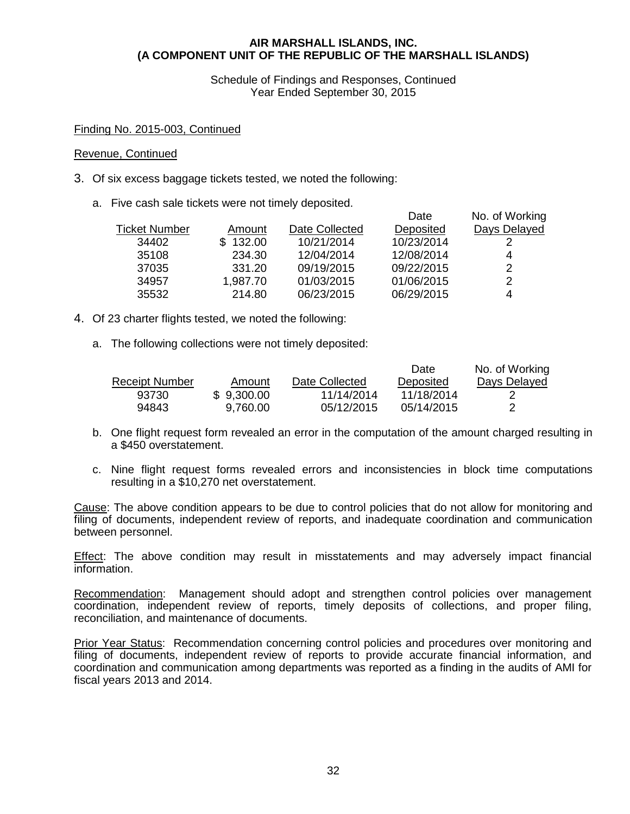Schedule of Findings and Responses, Continued Year Ended September 30, 2015

### Finding No. 2015-003, Continued

#### Revenue, Continued

- 3. Of six excess baggage tickets tested, we noted the following:
	- a. Five cash sale tickets were not timely deposited.

|                      |          |                | Date       | No. of Working |
|----------------------|----------|----------------|------------|----------------|
| <b>Ticket Number</b> | Amount   | Date Collected | Deposited  | Days Delayed   |
| 34402                | \$132.00 | 10/21/2014     | 10/23/2014 |                |
| 35108                | 234.30   | 12/04/2014     | 12/08/2014 | 4              |
| 37035                | 331.20   | 09/19/2015     | 09/22/2015 | 2              |
| 34957                | 1,987.70 | 01/03/2015     | 01/06/2015 | 2              |
| 35532                | 214.80   | 06/23/2015     | 06/29/2015 | 4              |
|                      |          |                |            |                |

- 4. Of 23 charter flights tested, we noted the following:
	- a. The following collections were not timely deposited:

|                       |            |                | Date       | No. of Working |
|-----------------------|------------|----------------|------------|----------------|
| <b>Receipt Number</b> | Amount     | Date Collected | Deposited  | Days Delayed   |
| 93730                 | \$9,300.00 | 11/14/2014     | 11/18/2014 |                |
| 94843                 | 9.760.00   | 05/12/2015     | 05/14/2015 |                |

- b. One flight request form revealed an error in the computation of the amount charged resulting in a \$450 overstatement.
- c. Nine flight request forms revealed errors and inconsistencies in block time computations resulting in a \$10,270 net overstatement.

Cause: The above condition appears to be due to control policies that do not allow for monitoring and filing of documents, independent review of reports, and inadequate coordination and communication between personnel.

Effect: The above condition may result in misstatements and may adversely impact financial information.

Recommendation: Management should adopt and strengthen control policies over management coordination, independent review of reports, timely deposits of collections, and proper filing, reconciliation, and maintenance of documents.

Prior Year Status: Recommendation concerning control policies and procedures over monitoring and filing of documents, independent review of reports to provide accurate financial information, and coordination and communication among departments was reported as a finding in the audits of AMI for fiscal years 2013 and 2014.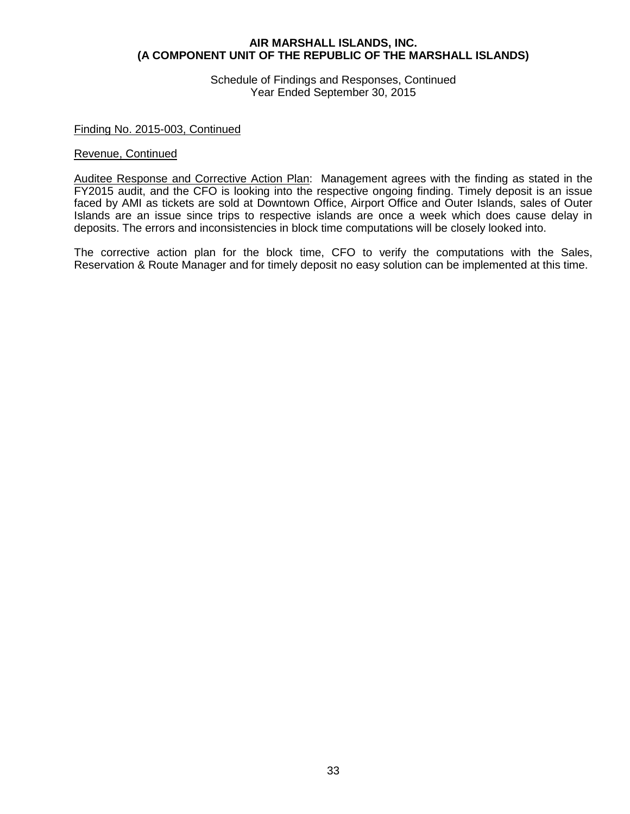Schedule of Findings and Responses, Continued Year Ended September 30, 2015

#### Finding No. 2015-003, Continued

#### Revenue, Continued

Auditee Response and Corrective Action Plan: Management agrees with the finding as stated in the FY2015 audit, and the CFO is looking into the respective ongoing finding. Timely deposit is an issue faced by AMI as tickets are sold at Downtown Office, Airport Office and Outer Islands, sales of Outer Islands are an issue since trips to respective islands are once a week which does cause delay in deposits. The errors and inconsistencies in block time computations will be closely looked into.

The corrective action plan for the block time, CFO to verify the computations with the Sales, Reservation & Route Manager and for timely deposit no easy solution can be implemented at this time.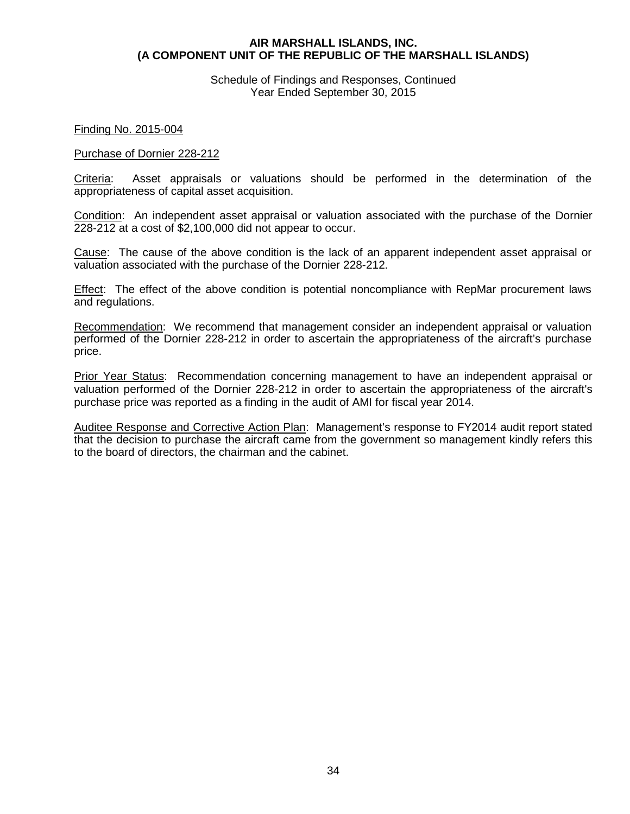Schedule of Findings and Responses, Continued Year Ended September 30, 2015

#### Finding No. 2015-004

#### Purchase of Dornier 228-212

Criteria: Asset appraisals or valuations should be performed in the determination of the appropriateness of capital asset acquisition.

Condition: An independent asset appraisal or valuation associated with the purchase of the Dornier 228-212 at a cost of \$2,100,000 did not appear to occur.

Cause: The cause of the above condition is the lack of an apparent independent asset appraisal or valuation associated with the purchase of the Dornier 228-212.

Effect: The effect of the above condition is potential noncompliance with RepMar procurement laws and regulations.

Recommendation: We recommend that management consider an independent appraisal or valuation performed of the Dornier 228-212 in order to ascertain the appropriateness of the aircraft's purchase price.

Prior Year Status: Recommendation concerning management to have an independent appraisal or valuation performed of the Dornier 228-212 in order to ascertain the appropriateness of the aircraft's purchase price was reported as a finding in the audit of AMI for fiscal year 2014.

Auditee Response and Corrective Action Plan: Management's response to FY2014 audit report stated that the decision to purchase the aircraft came from the government so management kindly refers this to the board of directors, the chairman and the cabinet.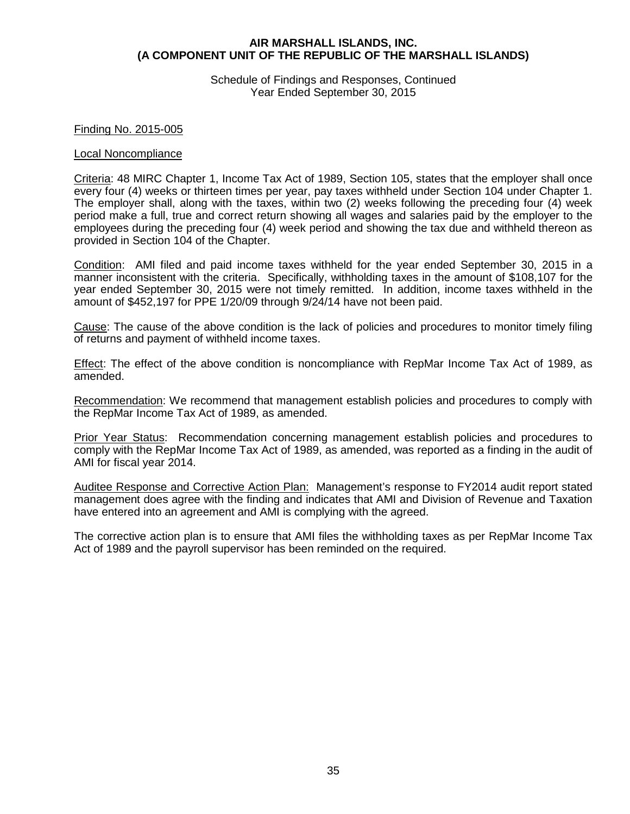Schedule of Findings and Responses, Continued Year Ended September 30, 2015

#### Finding No. 2015-005

#### Local Noncompliance

Criteria: 48 MIRC Chapter 1, Income Tax Act of 1989, Section 105, states that the employer shall once every four (4) weeks or thirteen times per year, pay taxes withheld under Section 104 under Chapter 1. The employer shall, along with the taxes, within two (2) weeks following the preceding four (4) week period make a full, true and correct return showing all wages and salaries paid by the employer to the employees during the preceding four (4) week period and showing the tax due and withheld thereon as provided in Section 104 of the Chapter.

Condition: AMI filed and paid income taxes withheld for the year ended September 30, 2015 in a manner inconsistent with the criteria. Specifically, withholding taxes in the amount of \$108,107 for the year ended September 30, 2015 were not timely remitted. In addition, income taxes withheld in the amount of \$452,197 for PPE 1/20/09 through 9/24/14 have not been paid.

Cause: The cause of the above condition is the lack of policies and procedures to monitor timely filing of returns and payment of withheld income taxes.

Effect: The effect of the above condition is noncompliance with RepMar Income Tax Act of 1989, as amended.

Recommendation: We recommend that management establish policies and procedures to comply with the RepMar Income Tax Act of 1989, as amended.

Prior Year Status: Recommendation concerning management establish policies and procedures to comply with the RepMar Income Tax Act of 1989, as amended, was reported as a finding in the audit of AMI for fiscal year 2014.

Auditee Response and Corrective Action Plan: Management's response to FY2014 audit report stated management does agree with the finding and indicates that AMI and Division of Revenue and Taxation have entered into an agreement and AMI is complying with the agreed.

The corrective action plan is to ensure that AMI files the withholding taxes as per RepMar Income Tax Act of 1989 and the payroll supervisor has been reminded on the required.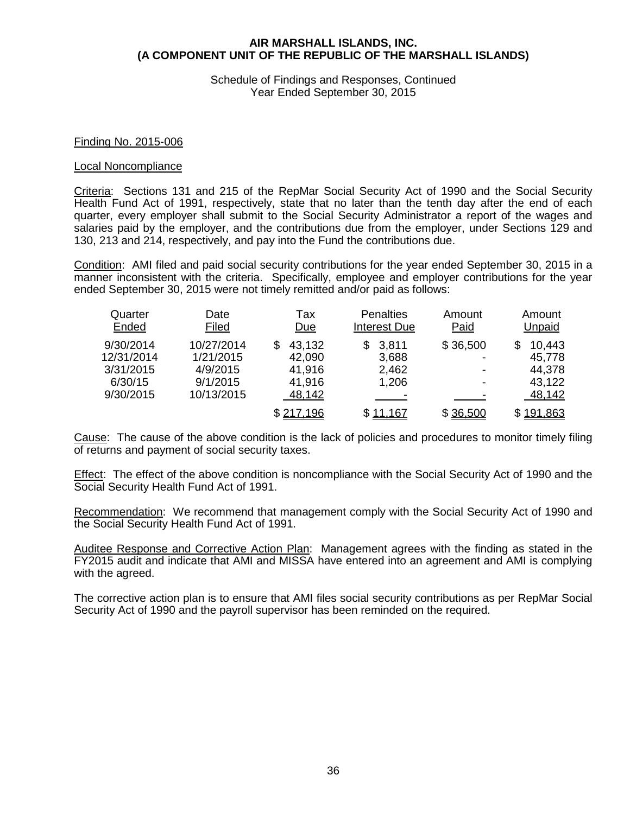Schedule of Findings and Responses, Continued Year Ended September 30, 2015

#### Finding No. 2015-006

#### Local Noncompliance

Criteria: Sections 131 and 215 of the RepMar Social Security Act of 1990 and the Social Security Health Fund Act of 1991, respectively, state that no later than the tenth day after the end of each quarter, every employer shall submit to the Social Security Administrator a report of the wages and salaries paid by the employer, and the contributions due from the employer, under Sections 129 and 130, 213 and 214, respectively, and pay into the Fund the contributions due.

Condition: AMI filed and paid social security contributions for the year ended September 30, 2015 in a manner inconsistent with the criteria. Specifically, employee and employer contributions for the year ended September 30, 2015 were not timely remitted and/or paid as follows:

| Quarter<br>Ended | Date<br><u>Filed</u> | Tax<br><u>Due</u> | <b>Penalties</b><br><b>Interest Due</b> | Amount<br><b>Paid</b> | Amount<br>Unpaid |
|------------------|----------------------|-------------------|-----------------------------------------|-----------------------|------------------|
| 9/30/2014        | 10/27/2014           | 43,132<br>S       | 3,811<br>\$.                            | \$36,500              | 10,443<br>S      |
| 12/31/2014       | 1/21/2015            | 42,090            | 3,688                                   | -                     | 45,778           |
| 3/31/2015        | 4/9/2015             | 41,916            | 2,462                                   | ٠                     | 44,378           |
| 6/30/15          | 9/1/2015             | 41,916            | 1,206                                   | ٠                     | 43,122           |
| 9/30/2015        | 10/13/2015           | 48,142            |                                         |                       | 48,142           |
|                  |                      | \$217,196         | \$11,167                                | \$36,500              | \$191,863        |

Cause: The cause of the above condition is the lack of policies and procedures to monitor timely filing of returns and payment of social security taxes.

Effect: The effect of the above condition is noncompliance with the Social Security Act of 1990 and the Social Security Health Fund Act of 1991.

Recommendation: We recommend that management comply with the Social Security Act of 1990 and the Social Security Health Fund Act of 1991.

Auditee Response and Corrective Action Plan: Management agrees with the finding as stated in the FY2015 audit and indicate that AMI and MISSA have entered into an agreement and AMI is complying with the agreed.

The corrective action plan is to ensure that AMI files social security contributions as per RepMar Social Security Act of 1990 and the payroll supervisor has been reminded on the required.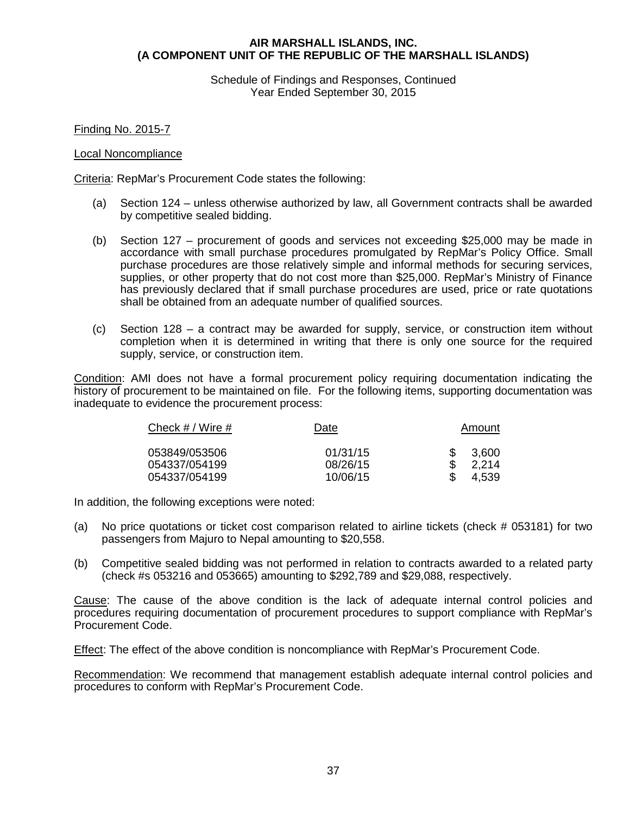Schedule of Findings and Responses, Continued Year Ended September 30, 2015

### Finding No. 2015-7

### Local Noncompliance

Criteria: RepMar's Procurement Code states the following:

- (a) Section 124 unless otherwise authorized by law, all Government contracts shall be awarded by competitive sealed bidding.
- (b) Section 127 procurement of goods and services not exceeding \$25,000 may be made in accordance with small purchase procedures promulgated by RepMar's Policy Office. Small purchase procedures are those relatively simple and informal methods for securing services, supplies, or other property that do not cost more than \$25,000. RepMar's Ministry of Finance has previously declared that if small purchase procedures are used, price or rate quotations shall be obtained from an adequate number of qualified sources.
- (c) Section 128 a contract may be awarded for supply, service, or construction item without completion when it is determined in writing that there is only one source for the required supply, service, or construction item.

Condition: AMI does not have a formal procurement policy requiring documentation indicating the history of procurement to be maintained on file. For the following items, supporting documentation was inadequate to evidence the procurement process:

| Check $\#$ / Wire $\#$ | Date     | Amount |
|------------------------|----------|--------|
| 053849/053506          | 01/31/15 | 3,600  |
| 054337/054199          | 08/26/15 | 2.214  |
| 054337/054199          | 10/06/15 | 4.539  |

In addition, the following exceptions were noted:

- (a) No price quotations or ticket cost comparison related to airline tickets (check # 053181) for two passengers from Majuro to Nepal amounting to \$20,558.
- (b) Competitive sealed bidding was not performed in relation to contracts awarded to a related party (check #s 053216 and 053665) amounting to \$292,789 and \$29,088, respectively.

Cause: The cause of the above condition is the lack of adequate internal control policies and procedures requiring documentation of procurement procedures to support compliance with RepMar's Procurement Code.

Effect: The effect of the above condition is noncompliance with RepMar's Procurement Code.

Recommendation: We recommend that management establish adequate internal control policies and procedures to conform with RepMar's Procurement Code.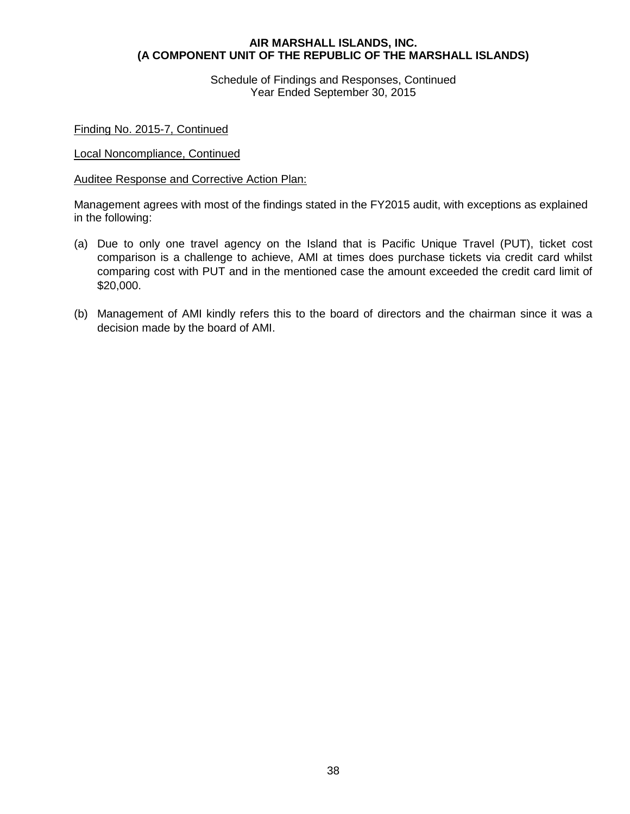Schedule of Findings and Responses, Continued Year Ended September 30, 2015

# Finding No. 2015-7, Continued

Local Noncompliance, Continued

### Auditee Response and Corrective Action Plan:

Management agrees with most of the findings stated in the FY2015 audit, with exceptions as explained in the following:

- (a) Due to only one travel agency on the Island that is Pacific Unique Travel (PUT), ticket cost comparison is a challenge to achieve, AMI at times does purchase tickets via credit card whilst comparing cost with PUT and in the mentioned case the amount exceeded the credit card limit of \$20,000.
- (b) Management of AMI kindly refers this to the board of directors and the chairman since it was a decision made by the board of AMI.